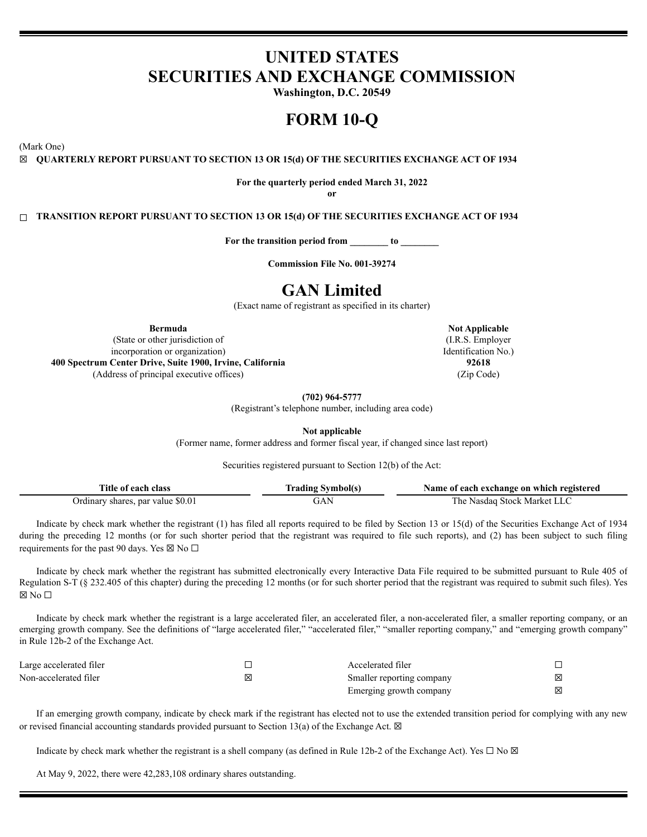# **UNITED STATES SECURITIES AND EXCHANGE COMMISSION**

**Washington, D.C. 20549**

# **FORM 10-Q**

(Mark One)

☒ **QUARTERLY REPORT PURSUANT TO SECTION 13 OR 15(d) OF THE SECURITIES EXCHANGE ACT OF 1934**

**For the quarterly period ended March 31, 2022**

**or**

☐ **TRANSITION REPORT PURSUANT TO SECTION 13 OR 15(d) OF THE SECURITIES EXCHANGE ACT OF 1934**

**For the transition period from \_\_\_\_\_\_\_\_ to \_\_\_\_\_\_\_\_**

**Commission File No. 001-39274**

# **GAN Limited**

(Exact name of registrant as specified in its charter)

(State or other jurisdiction of incorporation or organization) **400 Spectrum Center Drive, Suite 1900, Irvine, California 92618** (Address of principal executive offices) (Zip Code)

**Bermuda Not Applicable** (I.R.S. Employer Identification No.)

**(702) 964-5777**

(Registrant's telephone number, including area code)

**Not applicable**

(Former name, former address and former fiscal year, if changed since last report)

Securities registered pursuant to Section 12(b) of the Act:

| Title of each class               | Trading Symbol(s) | Name of each exchange on which registered |  |  |  |  |
|-----------------------------------|-------------------|-------------------------------------------|--|--|--|--|
| Ordinary shares, par value \$0.01 | GAN               | Nasdag Stock Market L<br>l he             |  |  |  |  |

Indicate by check mark whether the registrant (1) has filed all reports required to be filed by Section 13 or 15(d) of the Securities Exchange Act of 1934 during the preceding 12 months (or for such shorter period that the registrant was required to file such reports), and (2) has been subject to such filing requirements for the past 90 days. Yes  $\boxtimes$  No  $\Box$ 

Indicate by check mark whether the registrant has submitted electronically every Interactive Data File required to be submitted pursuant to Rule 405 of Regulation S-T (§ 232.405 of this chapter) during the preceding 12 months (or for such shorter period that the registrant was required to submit such files). Yes ⊠ No □

Indicate by check mark whether the registrant is a large accelerated filer, an accelerated filer, a non-accelerated filer, a smaller reporting company, or an emerging growth company. See the definitions of "large accelerated filer," "accelerated filer," "smaller reporting company," and "emerging growth company" in Rule 12b-2 of the Exchange Act.

| Large accelerated filer | Accelerated filer         |   |
|-------------------------|---------------------------|---|
| Non-accelerated filer   | Smaller reporting company | ⊠ |
|                         | Emerging growth company   | ⊠ |

If an emerging growth company, indicate by check mark if the registrant has elected not to use the extended transition period for complying with any new or revised financial accounting standards provided pursuant to Section 13(a) of the Exchange Act.  $\boxtimes$ 

Indicate by check mark whether the registrant is a shell company (as defined in Rule 12b-2 of the Exchange Act). Yes  $\Box$  No  $\boxtimes$ 

At May 9, 2022, there were 42,283,108 ordinary shares outstanding.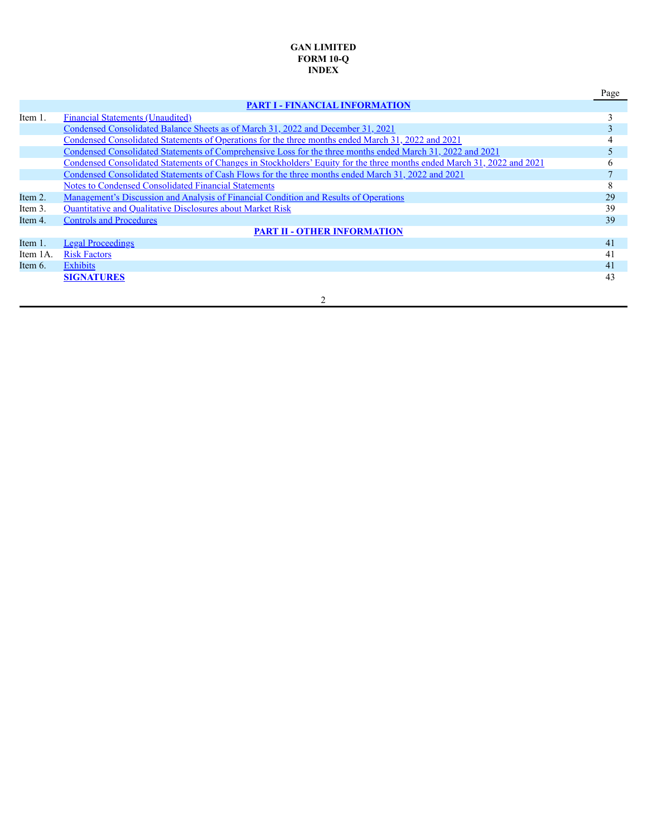# **GAN LIMITED FORM 10-Q INDEX**

|          |                                                                                                                         | Page |
|----------|-------------------------------------------------------------------------------------------------------------------------|------|
|          | <b>PART I - FINANCIAL INFORMATION</b>                                                                                   |      |
| Item 1.  | <b>Financial Statements (Unaudited)</b>                                                                                 | 3    |
|          | Condensed Consolidated Balance Sheets as of March 31, 2022 and December 31, 2021                                        | 3    |
|          | Condensed Consolidated Statements of Operations for the three months ended March 31, 2022 and 2021                      | 4    |
|          | Condensed Consolidated Statements of Comprehensive Loss for the three months ended March 31, 2022 and 2021              |      |
|          | Condensed Consolidated Statements of Changes in Stockholders' Equity for the three months ended March 31, 2022 and 2021 | 6    |
|          | Condensed Consolidated Statements of Cash Flows for the three months ended March 31, 2022 and 2021                      |      |
|          | <b>Notes to Condensed Consolidated Financial Statements</b>                                                             | 8    |
| Item 2.  | <u>Management's Discussion and Analysis of Financial Condition and Results of Operations</u>                            | 29   |
| Item 3.  | Quantitative and Qualitative Disclosures about Market Risk                                                              | 39   |
| Item 4.  | <b>Controls and Procedures</b>                                                                                          | 39   |
|          | <b>PART II - OTHER INFORMATION</b>                                                                                      |      |
| Item 1.  | <b>Legal Proceedings</b>                                                                                                | 41   |
| Item 1A. | <b>Risk Factors</b>                                                                                                     | 41   |
| Item 6.  | <b>Exhibits</b>                                                                                                         | 41   |
|          | <b>SIGNATURES</b>                                                                                                       | 43   |
|          |                                                                                                                         |      |
|          |                                                                                                                         |      |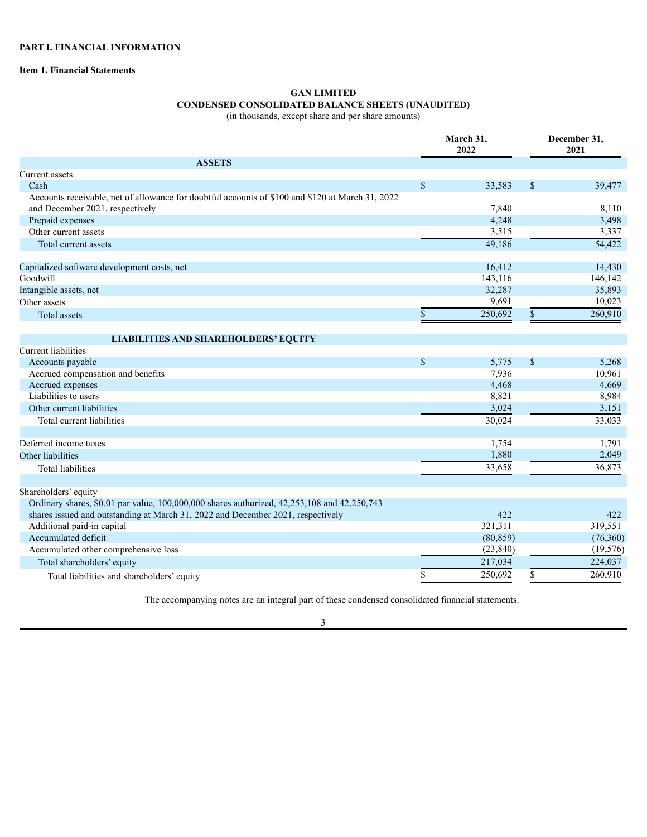# <span id="page-3-0"></span>**Item 1. Financial Statements**

# **GAN LIMITED CONDENSED CONSOLIDATED BALANCE SHEETS (UNAUDITED)**

(in thousands, except share and per share amounts)

|                                                                                                  |             | March 31,<br>2022 | December 31,<br>2021 |           |
|--------------------------------------------------------------------------------------------------|-------------|-------------------|----------------------|-----------|
| <b>ASSETS</b>                                                                                    |             |                   |                      |           |
| Current assets                                                                                   |             |                   |                      |           |
| Cash                                                                                             | \$          | 33,583            | \$                   | 39,477    |
| Accounts receivable, net of allowance for doubtful accounts of \$100 and \$120 at March 31, 2022 |             |                   |                      |           |
| and December 2021, respectively                                                                  |             | 7,840             |                      | 8,110     |
| Prepaid expenses                                                                                 |             | 4,248             |                      | 3,498     |
| Other current assets                                                                             |             | 3,515             |                      | 3,337     |
| Total current assets                                                                             |             | 49,186            |                      | 54,422    |
| Capitalized software development costs, net                                                      |             | 16,412            |                      | 14,430    |
| Goodwill                                                                                         |             | 143,116           |                      | 146,142   |
| Intangible assets, net                                                                           |             | 32,287            |                      | 35,893    |
| Other assets                                                                                     |             | 9,691             |                      | 10,023    |
| <b>Total assets</b>                                                                              | \$          | 250,692           | \$                   | 260,910   |
| <b>LIABILITIES AND SHAREHOLDERS' EQUITY</b>                                                      |             |                   |                      |           |
| <b>Current liabilities</b>                                                                       |             |                   |                      |           |
| Accounts payable                                                                                 | $\mathbf S$ | 5,775             | \$                   | 5,268     |
| Accrued compensation and benefits                                                                |             | 7,936             |                      | 10,961    |
| Accrued expenses                                                                                 |             | 4,468             |                      | 4,669     |
| Liabilities to users                                                                             |             | 8,821             |                      | 8,984     |
| Other current liabilities                                                                        |             | 3,024             |                      | 3,151     |
| Total current liabilities                                                                        |             | 30,024            |                      | 33,033    |
| Deferred income taxes                                                                            |             | 1,754             |                      | 1,791     |
| Other liabilities                                                                                |             | 1,880             |                      | 2,049     |
| <b>Total liabilities</b>                                                                         |             | 33,658            |                      | 36,873    |
| Shareholders' equity                                                                             |             |                   |                      |           |
| Ordinary shares, \$0.01 par value, 100,000,000 shares authorized, 42,253,108 and 42,250,743      |             |                   |                      |           |
| shares issued and outstanding at March 31, 2022 and December 2021, respectively                  |             | 422               |                      | 422       |
| Additional paid-in capital                                                                       |             | 321,311           |                      | 319,551   |
| Accumulated deficit                                                                              |             | (80, 859)         |                      | (76, 360) |
| Accumulated other comprehensive loss                                                             |             | (23, 840)         |                      | (19, 576) |
| Total shareholders' equity                                                                       |             | 217,034           |                      | 224,037   |
| Total liabilities and shareholders' equity                                                       | \$          | 250,692           | S                    | 260,910   |

The accompanying notes are an integral part of these condensed consolidated financial statements.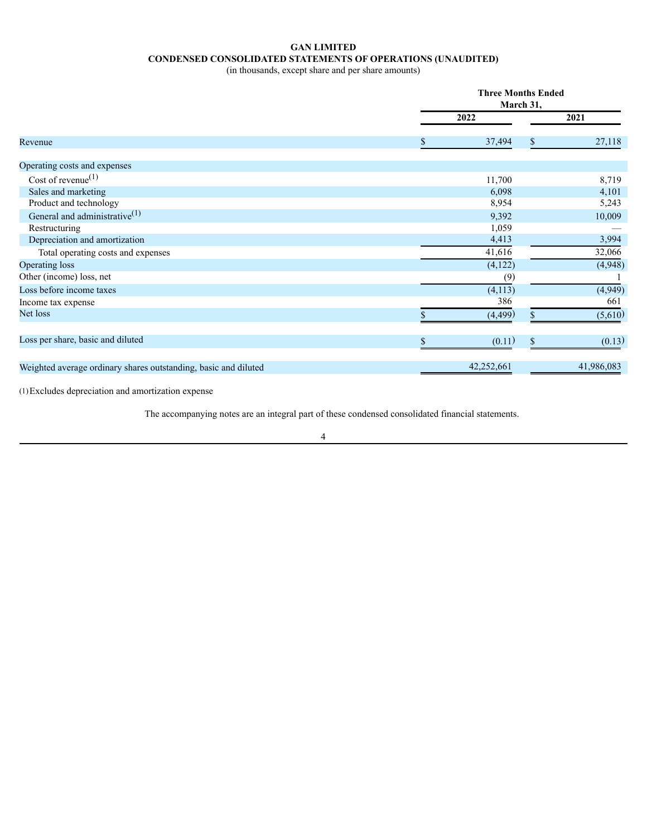# <span id="page-4-0"></span>**GAN LIMITED CONDENSED CONSOLIDATED STATEMENTS OF OPERATIONS (UNAUDITED)**

(in thousands, except share and per share amounts)

|                                                                 |               | <b>Three Months Ended</b><br>March 31, |    |            |  |  |
|-----------------------------------------------------------------|---------------|----------------------------------------|----|------------|--|--|
|                                                                 |               | 2022                                   |    | 2021       |  |  |
| Revenue                                                         | \$            | 37,494                                 | \$ | 27,118     |  |  |
| Operating costs and expenses                                    |               |                                        |    |            |  |  |
| Cost of revenue <sup>(1)</sup>                                  |               | 11,700                                 |    | 8,719      |  |  |
| Sales and marketing                                             |               | 6,098                                  |    | 4,101      |  |  |
| Product and technology                                          |               | 8,954                                  |    | 5,243      |  |  |
| General and administrative <sup>(1)</sup>                       |               | 9,392                                  |    | 10,009     |  |  |
| Restructuring                                                   |               | 1,059                                  |    |            |  |  |
| Depreciation and amortization                                   |               | 4,413                                  |    | 3,994      |  |  |
| Total operating costs and expenses                              |               | 41,616                                 |    | 32,066     |  |  |
| <b>Operating loss</b>                                           |               | (4,122)                                |    | (4,948)    |  |  |
| Other (income) loss, net                                        |               | (9)                                    |    |            |  |  |
| Loss before income taxes                                        |               | (4, 113)                               |    | (4,949)    |  |  |
| Income tax expense                                              |               | 386                                    |    | 661        |  |  |
| Net loss                                                        | S.            | (4, 499)                               | S. | (5,610)    |  |  |
| Loss per share, basic and diluted                               | $\mathbf{\$}$ | (0.11)                                 | \$ | (0.13)     |  |  |
| Weighted average ordinary shares outstanding, basic and diluted |               | 42,252,661                             |    | 41,986,083 |  |  |

(1)Excludes depreciation and amortization expense

The accompanying notes are an integral part of these condensed consolidated financial statements.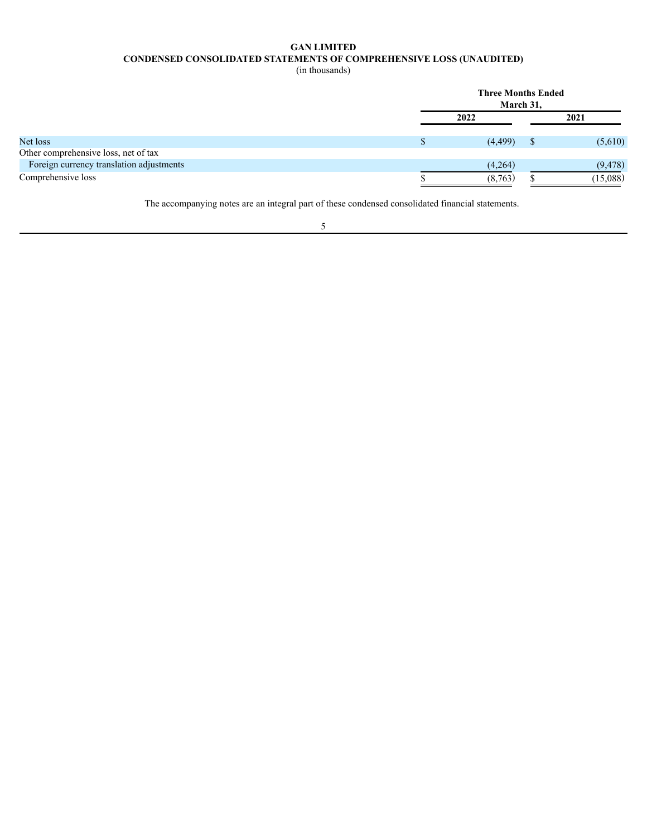# **GAN LIMITED CONDENSED CONSOLIDATED STATEMENTS OF COMPREHENSIVE LOSS (UNAUDITED)**

(in thousands)

|                                                                                  | <b>Three Months Ended</b><br>March 31, |  |          |  |  |
|----------------------------------------------------------------------------------|----------------------------------------|--|----------|--|--|
|                                                                                  | 2022                                   |  | 2021     |  |  |
| Net loss                                                                         | (4, 499)                               |  | (5,610)  |  |  |
| Other comprehensive loss, net of tax<br>Foreign currency translation adjustments | (4,264)                                |  | (9, 478) |  |  |
| Comprehensive loss                                                               | (8,763)                                |  | (15,088) |  |  |

The accompanying notes are an integral part of these condensed consolidated financial statements.

# $\overline{\phantom{a}}$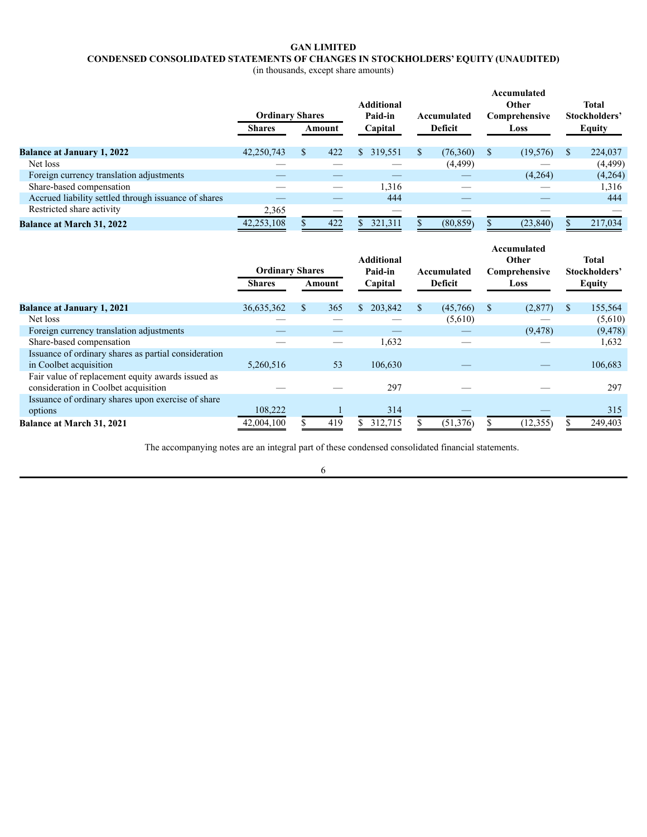# **CONDENSED CONSOLIDATED STATEMENTS OF CHANGES IN STOCKHOLDERS' EQUITY (UNAUDITED)**

(in thousands, except share amounts)

|                                                      | <b>Ordinary Shares</b> |  |        | <b>Additional</b><br>Paid-in<br>Accumulated |   |                |   | Accumulated<br>Other<br>Comprehensive | <b>Total</b><br>Stockholders' |               |  |
|------------------------------------------------------|------------------------|--|--------|---------------------------------------------|---|----------------|---|---------------------------------------|-------------------------------|---------------|--|
|                                                      | <b>Shares</b>          |  | Amount | Capital                                     |   | <b>Deficit</b> |   | Loss                                  |                               | <b>Equity</b> |  |
| <b>Balance at January 1, 2022</b>                    | 42,250,743             |  | 422    | 319,551<br>S.                               | S | (76,360)       | S | (19, 576)                             |                               | 224,037       |  |
| Net loss                                             |                        |  |        |                                             |   | (4, 499)       |   |                                       |                               | (4,499)       |  |
| Foreign currency translation adjustments             |                        |  |        |                                             |   |                |   | (4,264)                               |                               | (4,264)       |  |
| Share-based compensation                             |                        |  |        | 1,316                                       |   |                |   |                                       |                               | 1,316         |  |
| Accrued liability settled through issuance of shares |                        |  |        | 444                                         |   |                |   |                                       |                               | 444           |  |
| Restricted share activity                            | 2,365                  |  |        |                                             |   |                |   |                                       |                               |               |  |
| <b>Balance at March 31, 2022</b>                     | 42,253,108             |  | 422    | 321,311                                     |   | (80, 859)      |   | (23, 840)                             |                               | 217,034       |  |

|                                                                                           | <b>Ordinary Shares</b><br>Amount |  |     | <b>Additional</b><br>Paid-in | Accumulated | Accumulated<br>Other<br>Comprehensive | <b>Total</b><br>Stockholders' |     |               |
|-------------------------------------------------------------------------------------------|----------------------------------|--|-----|------------------------------|-------------|---------------------------------------|-------------------------------|-----|---------------|
|                                                                                           | <b>Shares</b>                    |  |     | Capital                      |             | <b>Deficit</b>                        | Loss                          |     | <b>Equity</b> |
| <b>Balance at January 1, 2021</b>                                                         | 36,635,362                       |  | 365 | 203,842<br>S.                | \$          | (45,766)                              | \$<br>(2,877)                 | \$. | 155,564       |
| Net loss                                                                                  |                                  |  |     |                              |             | (5,610)                               |                               |     | (5,610)       |
| Foreign currency translation adjustments                                                  |                                  |  |     |                              |             |                                       | (9, 478)                      |     | (9, 478)      |
| Share-based compensation                                                                  |                                  |  |     | 1,632                        |             |                                       |                               |     | 1,632         |
| Issuance of ordinary shares as partial consideration                                      |                                  |  |     |                              |             |                                       |                               |     |               |
| in Coolbet acquisition                                                                    | 5,260,516                        |  | 53  | 106,630                      |             |                                       |                               |     | 106,683       |
| Fair value of replacement equity awards issued as<br>consideration in Coolbet acquisition |                                  |  |     | 297                          |             |                                       |                               |     | 297           |
| Issuance of ordinary shares upon exercise of share                                        |                                  |  |     |                              |             |                                       |                               |     |               |
| options                                                                                   | 108,222                          |  |     | 314                          |             |                                       |                               |     | 315           |
| <b>Balance at March 31, 2021</b>                                                          | 42,004,100                       |  | 419 | 312,715                      |             | (51, 376)                             | (12, 355)                     |     | 249,403       |

The accompanying notes are an integral part of these condensed consolidated financial statements.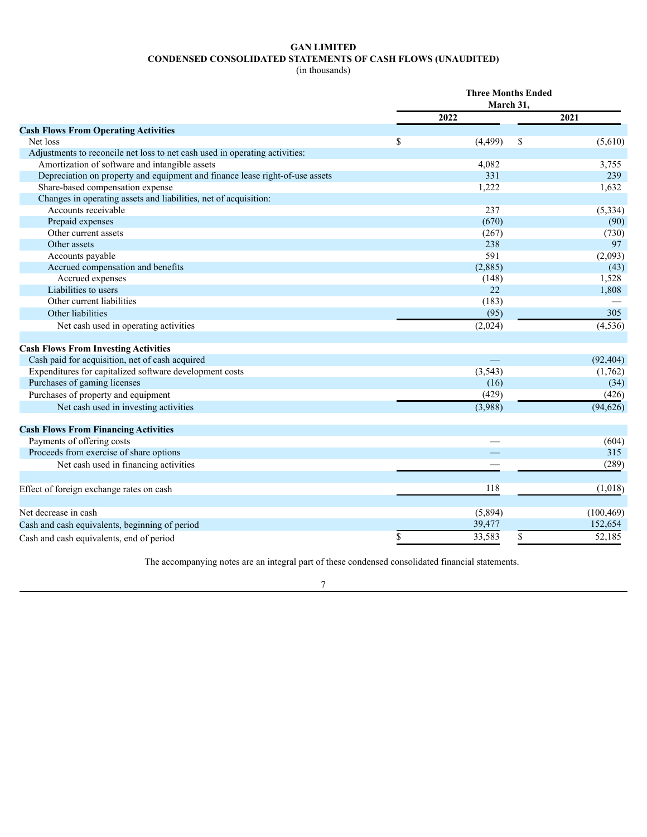# <span id="page-7-0"></span>**GAN LIMITED CONDENSED CONSOLIDATED STATEMENTS OF CASH FLOWS (UNAUDITED)**

(in thousands)

|                                                                              |    | <b>Three Months Ended</b> |    |            |
|------------------------------------------------------------------------------|----|---------------------------|----|------------|
|                                                                              |    | March 31,<br>2022         |    | 2021       |
| <b>Cash Flows From Operating Activities</b>                                  |    |                           |    |            |
| Net loss                                                                     | S  | (4, 499)                  | \$ | (5,610)    |
| Adjustments to reconcile net loss to net cash used in operating activities:  |    |                           |    |            |
| Amortization of software and intangible assets                               |    | 4,082                     |    | 3,755      |
| Depreciation on property and equipment and finance lease right-of-use assets |    | 331                       |    | 239        |
| Share-based compensation expense                                             |    | 1,222                     |    | 1,632      |
| Changes in operating assets and liabilities, net of acquisition:             |    |                           |    |            |
| Accounts receivable                                                          |    | 237                       |    | (5, 334)   |
| Prepaid expenses                                                             |    | (670)                     |    | (90)       |
| Other current assets                                                         |    | (267)                     |    | (730)      |
| Other assets                                                                 |    | 238                       |    | 97         |
| Accounts payable                                                             |    | 591                       |    | (2,093)    |
| Accrued compensation and benefits                                            |    | (2,885)                   |    | (43)       |
| Accrued expenses                                                             |    | (148)                     |    | 1,528      |
| Liabilities to users                                                         |    | 22                        |    | 1,808      |
| Other current liabilities                                                    |    | (183)                     |    |            |
| Other liabilities                                                            |    | (95)                      |    | 305        |
| Net cash used in operating activities                                        |    | (2,024)                   |    | (4, 536)   |
| <b>Cash Flows From Investing Activities</b>                                  |    |                           |    |            |
| Cash paid for acquisition, net of cash acquired                              |    |                           |    | (92, 404)  |
| Expenditures for capitalized software development costs                      |    | (3, 543)                  |    | (1,762)    |
| Purchases of gaming licenses                                                 |    | (16)                      |    | (34)       |
| Purchases of property and equipment                                          |    | (429)                     |    | (426)      |
| Net cash used in investing activities                                        |    | (3,988)                   |    | (94, 626)  |
| <b>Cash Flows From Financing Activities</b>                                  |    |                           |    |            |
| Payments of offering costs                                                   |    |                           |    | (604)      |
| Proceeds from exercise of share options                                      |    |                           |    | 315        |
| Net cash used in financing activities                                        |    |                           |    | (289)      |
| Effect of foreign exchange rates on cash                                     |    | 118                       |    | (1,018)    |
| Net decrease in cash                                                         |    | (5,894)                   |    | (100, 469) |
| Cash and cash equivalents, beginning of period                               |    | 39,477                    |    | 152,654    |
| Cash and cash equivalents, end of period                                     | \$ | 33,583                    | \$ | 52,185     |

The accompanying notes are an integral part of these condensed consolidated financial statements.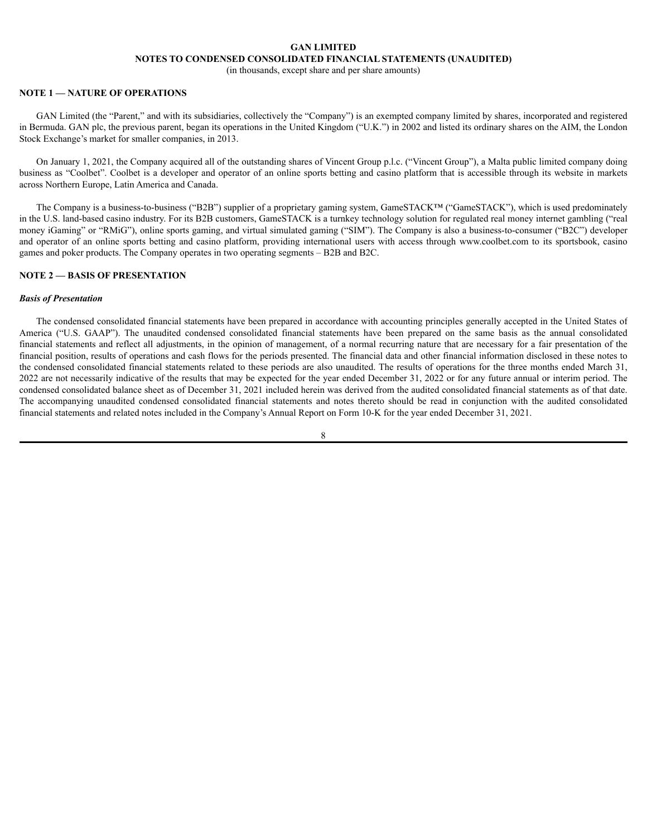(in thousands, except share and per share amounts)

# **NOTE 1 — NATURE OF OPERATIONS**

GAN Limited (the "Parent," and with its subsidiaries, collectively the "Company") is an exempted company limited by shares, incorporated and registered in Bermuda. GAN plc, the previous parent, began its operations in the United Kingdom ("U.K.") in 2002 and listed its ordinary shares on the AIM, the London Stock Exchange's market for smaller companies, in 2013.

On January 1, 2021, the Company acquired all of the outstanding shares of Vincent Group p.l.c. ("Vincent Group"), a Malta public limited company doing business as "Coolbet". Coolbet is a developer and operator of an online sports betting and casino platform that is accessible through its website in markets across Northern Europe, Latin America and Canada.

The Company is a business-to-business ("B2B") supplier of a proprietary gaming system, GameSTACK™ ("GameSTACK"), which is used predominately in the U.S. land-based casino industry. For its B2B customers, GameSTACK is a turnkey technology solution for regulated real money internet gambling ("real money iGaming" or "RMiG"), online sports gaming, and virtual simulated gaming ("SIM"). The Company is also a business-to-consumer ("B2C") developer and operator of an online sports betting and casino platform, providing international users with access through www.coolbet.com to its sportsbook, casino games and poker products. The Company operates in two operating segments – B2B and B2C.

### **NOTE 2 — BASIS OF PRESENTATION**

# *Basis of Presentation*

The condensed consolidated financial statements have been prepared in accordance with accounting principles generally accepted in the United States of America ("U.S. GAAP"). The unaudited condensed consolidated financial statements have been prepared on the same basis as the annual consolidated financial statements and reflect all adjustments, in the opinion of management, of a normal recurring nature that are necessary for a fair presentation of the financial position, results of operations and cash flows for the periods presented. The financial data and other financial information disclosed in these notes to the condensed consolidated financial statements related to these periods are also unaudited. The results of operations for the three months ended March 31, 2022 are not necessarily indicative of the results that may be expected for the year ended December 31, 2022 or for any future annual or interim period. The condensed consolidated balance sheet as of December 31, 2021 included herein was derived from the audited consolidated financial statements as of that date. The accompanying unaudited condensed consolidated financial statements and notes thereto should be read in conjunction with the audited consolidated financial statements and related notes included in the Company's Annual Report on Form 10-K for the year ended December 31, 2021.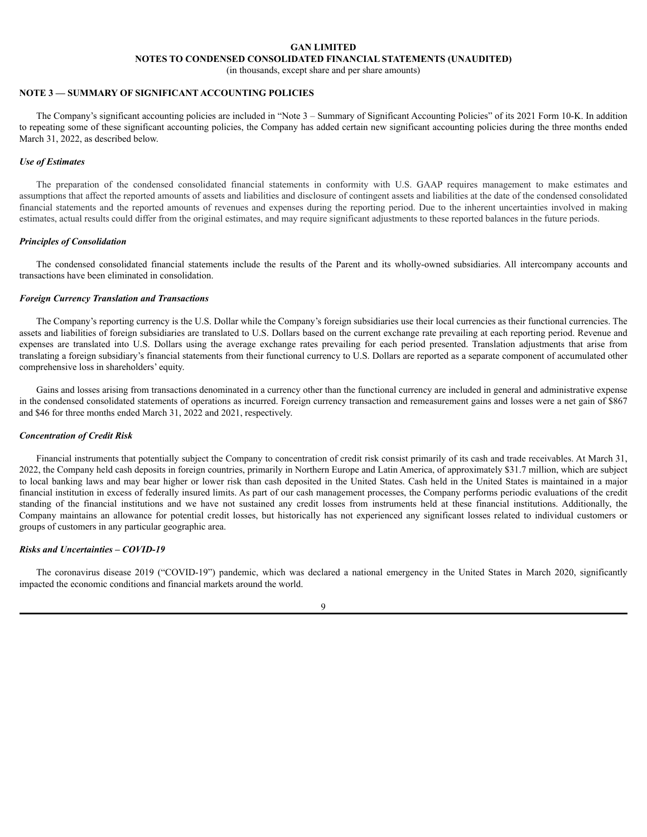(in thousands, except share and per share amounts)

# **NOTE 3 — SUMMARY OF SIGNIFICANT ACCOUNTING POLICIES**

The Company's significant accounting policies are included in "Note 3 – Summary of Significant Accounting Policies" of its 2021 Form 10-K. In addition to repeating some of these significant accounting policies, the Company has added certain new significant accounting policies during the three months ended March 31, 2022, as described below.

# *Use of Estimates*

The preparation of the condensed consolidated financial statements in conformity with U.S. GAAP requires management to make estimates and assumptions that affect the reported amounts of assets and liabilities and disclosure of contingent assets and liabilities at the date of the condensed consolidated financial statements and the reported amounts of revenues and expenses during the reporting period. Due to the inherent uncertainties involved in making estimates, actual results could differ from the original estimates, and may require significant adjustments to these reported balances in the future periods.

### *Principles of Consolidation*

The condensed consolidated financial statements include the results of the Parent and its wholly-owned subsidiaries. All intercompany accounts and transactions have been eliminated in consolidation.

### *Foreign Currency Translation and Transactions*

The Company's reporting currency is the U.S. Dollar while the Company's foreign subsidiaries use their local currencies as their functional currencies. The assets and liabilities of foreign subsidiaries are translated to U.S. Dollars based on the current exchange rate prevailing at each reporting period. Revenue and expenses are translated into U.S. Dollars using the average exchange rates prevailing for each period presented. Translation adjustments that arise from translating a foreign subsidiary's financial statements from their functional currency to U.S. Dollars are reported as a separate component of accumulated other comprehensive loss in shareholders' equity.

Gains and losses arising from transactions denominated in a currency other than the functional currency are included in general and administrative expense in the condensed consolidated statements of operations as incurred. Foreign currency transaction and remeasurement gains and losses were a net gain of \$867 and \$46 for three months ended March 31, 2022 and 2021, respectively.

### *Concentration of Credit Risk*

Financial instruments that potentially subject the Company to concentration of credit risk consist primarily of its cash and trade receivables. At March 31, 2022, the Company held cash deposits in foreign countries, primarily in Northern Europe and Latin America, of approximately \$31.7 million, which are subject to local banking laws and may bear higher or lower risk than cash deposited in the United States. Cash held in the United States is maintained in a major financial institution in excess of federally insured limits. As part of our cash management processes, the Company performs periodic evaluations of the credit standing of the financial institutions and we have not sustained any credit losses from instruments held at these financial institutions. Additionally, the Company maintains an allowance for potential credit losses, but historically has not experienced any significant losses related to individual customers or groups of customers in any particular geographic area.

### *Risks and Uncertainties – COVID-19*

The coronavirus disease 2019 ("COVID-19") pandemic, which was declared a national emergency in the United States in March 2020, significantly impacted the economic conditions and financial markets around the world.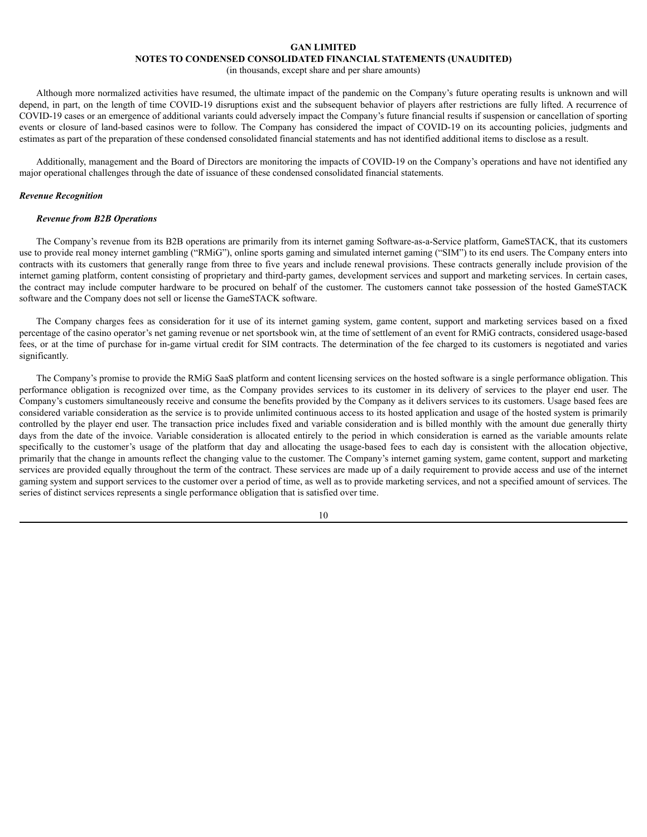# **NOTES TO CONDENSED CONSOLIDATED FINANCIAL STATEMENTS (UNAUDITED)**

(in thousands, except share and per share amounts)

Although more normalized activities have resumed, the ultimate impact of the pandemic on the Company's future operating results is unknown and will depend, in part, on the length of time COVID-19 disruptions exist and the subsequent behavior of players after restrictions are fully lifted. A recurrence of COVID-19 cases or an emergence of additional variants could adversely impact the Company's future financial results if suspension or cancellation of sporting events or closure of land-based casinos were to follow. The Company has considered the impact of COVID-19 on its accounting policies, judgments and estimates as part of the preparation of these condensed consolidated financial statements and has not identified additional items to disclose as a result.

Additionally, management and the Board of Directors are monitoring the impacts of COVID-19 on the Company's operations and have not identified any major operational challenges through the date of issuance of these condensed consolidated financial statements.

#### *Revenue Recognition*

#### *Revenue from B2B Operations*

The Company's revenue from its B2B operations are primarily from its internet gaming Software-as-a-Service platform, GameSTACK, that its customers use to provide real money internet gambling ("RMiG"), online sports gaming and simulated internet gaming ("SIM") to its end users. The Company enters into contracts with its customers that generally range from three to five years and include renewal provisions. These contracts generally include provision of the internet gaming platform, content consisting of proprietary and third-party games, development services and support and marketing services. In certain cases, the contract may include computer hardware to be procured on behalf of the customer. The customers cannot take possession of the hosted GameSTACK software and the Company does not sell or license the GameSTACK software.

The Company charges fees as consideration for it use of its internet gaming system, game content, support and marketing services based on a fixed percentage of the casino operator's net gaming revenue or net sportsbook win, at the time of settlement of an event for RMiG contracts, considered usage-based fees, or at the time of purchase for in-game virtual credit for SIM contracts. The determination of the fee charged to its customers is negotiated and varies significantly.

The Company's promise to provide the RMiG SaaS platform and content licensing services on the hosted software is a single performance obligation. This performance obligation is recognized over time, as the Company provides services to its customer in its delivery of services to the player end user. The Company's customers simultaneously receive and consume the benefits provided by the Company as it delivers services to its customers. Usage based fees are considered variable consideration as the service is to provide unlimited continuous access to its hosted application and usage of the hosted system is primarily controlled by the player end user. The transaction price includes fixed and variable consideration and is billed monthly with the amount due generally thirty days from the date of the invoice. Variable consideration is allocated entirely to the period in which consideration is earned as the variable amounts relate specifically to the customer's usage of the platform that day and allocating the usage-based fees to each day is consistent with the allocation objective, primarily that the change in amounts reflect the changing value to the customer. The Company's internet gaming system, game content, support and marketing services are provided equally throughout the term of the contract. These services are made up of a daily requirement to provide access and use of the internet gaming system and support services to the customer over a period of time, as well as to provide marketing services, and not a specified amount of services. The series of distinct services represents a single performance obligation that is satisfied over time.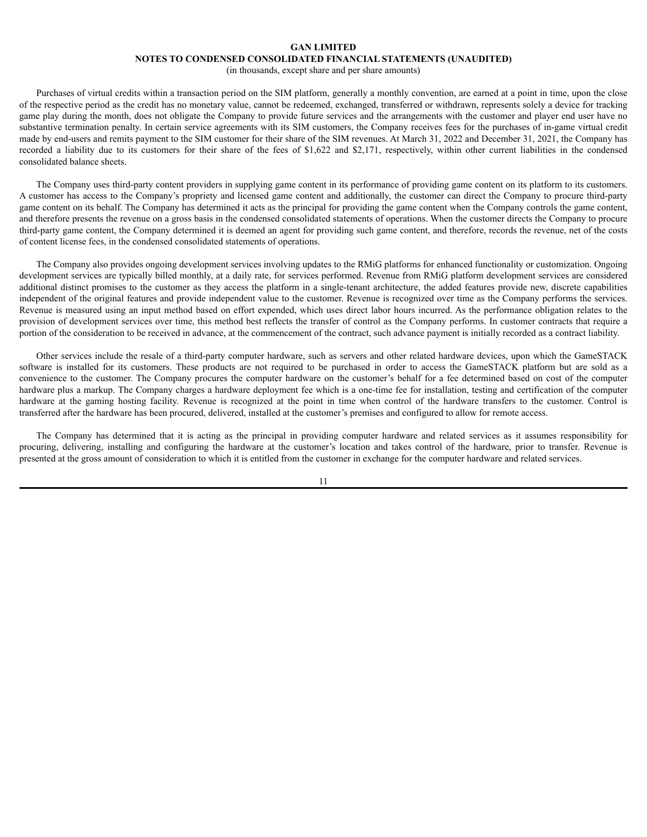# **NOTES TO CONDENSED CONSOLIDATED FINANCIAL STATEMENTS (UNAUDITED)**

(in thousands, except share and per share amounts)

Purchases of virtual credits within a transaction period on the SIM platform, generally a monthly convention, are earned at a point in time, upon the close of the respective period as the credit has no monetary value, cannot be redeemed, exchanged, transferred or withdrawn, represents solely a device for tracking game play during the month, does not obligate the Company to provide future services and the arrangements with the customer and player end user have no substantive termination penalty. In certain service agreements with its SIM customers, the Company receives fees for the purchases of in-game virtual credit made by end-users and remits payment to the SIM customer for their share of the SIM revenues. At March 31, 2022 and December 31, 2021, the Company has recorded a liability due to its customers for their share of the fees of \$1,622 and \$2,171, respectively, within other current liabilities in the condensed consolidated balance sheets.

The Company uses third-party content providers in supplying game content in its performance of providing game content on its platform to its customers. A customer has access to the Company's propriety and licensed game content and additionally, the customer can direct the Company to procure third-party game content on its behalf. The Company has determined it acts as the principal for providing the game content when the Company controls the game content, and therefore presents the revenue on a gross basis in the condensed consolidated statements of operations. When the customer directs the Company to procure third-party game content, the Company determined it is deemed an agent for providing such game content, and therefore, records the revenue, net of the costs of content license fees, in the condensed consolidated statements of operations.

The Company also provides ongoing development services involving updates to the RMiG platforms for enhanced functionality or customization. Ongoing development services are typically billed monthly, at a daily rate, for services performed. Revenue from RMiG platform development services are considered additional distinct promises to the customer as they access the platform in a single-tenant architecture, the added features provide new, discrete capabilities independent of the original features and provide independent value to the customer. Revenue is recognized over time as the Company performs the services. Revenue is measured using an input method based on effort expended, which uses direct labor hours incurred. As the performance obligation relates to the provision of development services over time, this method best reflects the transfer of control as the Company performs. In customer contracts that require a portion of the consideration to be received in advance, at the commencement of the contract, such advance payment is initially recorded as a contract liability.

Other services include the resale of a third-party computer hardware, such as servers and other related hardware devices, upon which the GameSTACK software is installed for its customers. These products are not required to be purchased in order to access the GameSTACK platform but are sold as a convenience to the customer. The Company procures the computer hardware on the customer's behalf for a fee determined based on cost of the computer hardware plus a markup. The Company charges a hardware deployment fee which is a one-time fee for installation, testing and certification of the computer hardware at the gaming hosting facility. Revenue is recognized at the point in time when control of the hardware transfers to the customer. Control is transferred after the hardware has been procured, delivered, installed at the customer's premises and configured to allow for remote access.

The Company has determined that it is acting as the principal in providing computer hardware and related services as it assumes responsibility for procuring, delivering, installing and configuring the hardware at the customer's location and takes control of the hardware, prior to transfer. Revenue is presented at the gross amount of consideration to which it is entitled from the customer in exchange for the computer hardware and related services.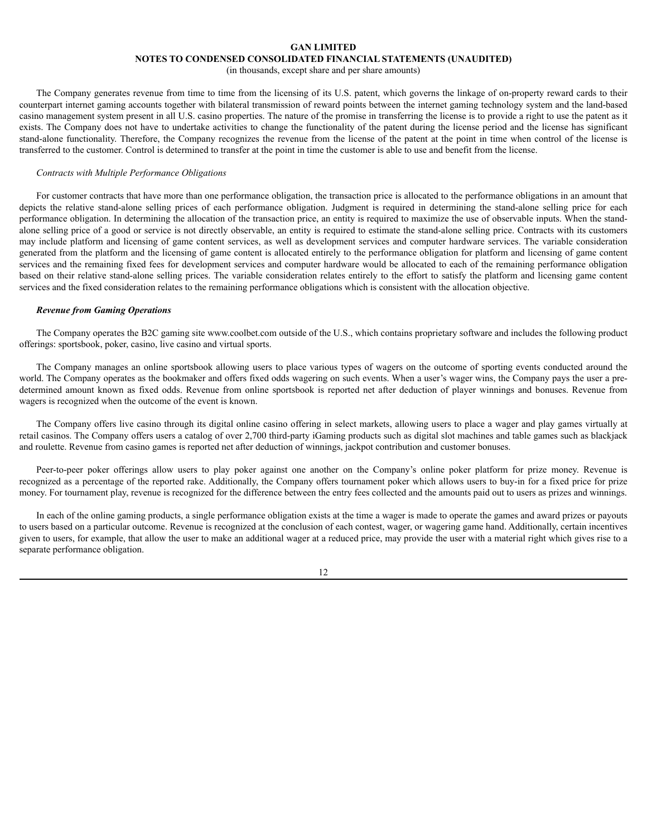# **NOTES TO CONDENSED CONSOLIDATED FINANCIAL STATEMENTS (UNAUDITED)**

(in thousands, except share and per share amounts)

The Company generates revenue from time to time from the licensing of its U.S. patent, which governs the linkage of on-property reward cards to their counterpart internet gaming accounts together with bilateral transmission of reward points between the internet gaming technology system and the land-based casino management system present in all U.S. casino properties. The nature of the promise in transferring the license is to provide a right to use the patent as it exists. The Company does not have to undertake activities to change the functionality of the patent during the license period and the license has significant stand-alone functionality. Therefore, the Company recognizes the revenue from the license of the patent at the point in time when control of the license is transferred to the customer. Control is determined to transfer at the point in time the customer is able to use and benefit from the license.

### *Contracts with Multiple Performance Obligations*

For customer contracts that have more than one performance obligation, the transaction price is allocated to the performance obligations in an amount that depicts the relative stand-alone selling prices of each performance obligation. Judgment is required in determining the stand-alone selling price for each performance obligation. In determining the allocation of the transaction price, an entity is required to maximize the use of observable inputs. When the standalone selling price of a good or service is not directly observable, an entity is required to estimate the stand-alone selling price. Contracts with its customers may include platform and licensing of game content services, as well as development services and computer hardware services. The variable consideration generated from the platform and the licensing of game content is allocated entirely to the performance obligation for platform and licensing of game content services and the remaining fixed fees for development services and computer hardware would be allocated to each of the remaining performance obligation based on their relative stand-alone selling prices. The variable consideration relates entirely to the effort to satisfy the platform and licensing game content services and the fixed consideration relates to the remaining performance obligations which is consistent with the allocation objective.

#### *Revenue from Gaming Operations*

The Company operates the B2C gaming site www.coolbet.com outside of the U.S., which contains proprietary software and includes the following product offerings: sportsbook, poker, casino, live casino and virtual sports.

The Company manages an online sportsbook allowing users to place various types of wagers on the outcome of sporting events conducted around the world. The Company operates as the bookmaker and offers fixed odds wagering on such events. When a user's wager wins, the Company pays the user a predetermined amount known as fixed odds. Revenue from online sportsbook is reported net after deduction of player winnings and bonuses. Revenue from wagers is recognized when the outcome of the event is known.

The Company offers live casino through its digital online casino offering in select markets, allowing users to place a wager and play games virtually at retail casinos. The Company offers users a catalog of over 2,700 third-party iGaming products such as digital slot machines and table games such as blackjack and roulette. Revenue from casino games is reported net after deduction of winnings, jackpot contribution and customer bonuses.

Peer-to-peer poker offerings allow users to play poker against one another on the Company's online poker platform for prize money. Revenue is recognized as a percentage of the reported rake. Additionally, the Company offers tournament poker which allows users to buy-in for a fixed price for prize money. For tournament play, revenue is recognized for the difference between the entry fees collected and the amounts paid out to users as prizes and winnings.

In each of the online gaming products, a single performance obligation exists at the time a wager is made to operate the games and award prizes or payouts to users based on a particular outcome. Revenue is recognized at the conclusion of each contest, wager, or wagering game hand. Additionally, certain incentives given to users, for example, that allow the user to make an additional wager at a reduced price, may provide the user with a material right which gives rise to a separate performance obligation.

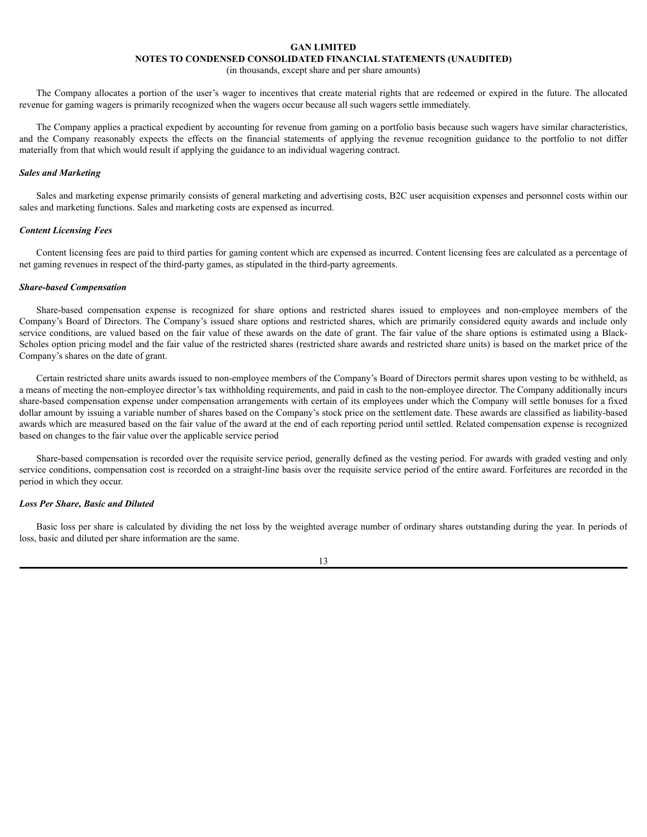# **NOTES TO CONDENSED CONSOLIDATED FINANCIAL STATEMENTS (UNAUDITED)**

(in thousands, except share and per share amounts)

The Company allocates a portion of the user's wager to incentives that create material rights that are redeemed or expired in the future. The allocated revenue for gaming wagers is primarily recognized when the wagers occur because all such wagers settle immediately.

The Company applies a practical expedient by accounting for revenue from gaming on a portfolio basis because such wagers have similar characteristics, and the Company reasonably expects the effects on the financial statements of applying the revenue recognition guidance to the portfolio to not differ materially from that which would result if applying the guidance to an individual wagering contract.

### *Sales and Marketing*

Sales and marketing expense primarily consists of general marketing and advertising costs, B2C user acquisition expenses and personnel costs within our sales and marketing functions. Sales and marketing costs are expensed as incurred.

#### *Content Licensing Fees*

Content licensing fees are paid to third parties for gaming content which are expensed as incurred. Content licensing fees are calculated as a percentage of net gaming revenues in respect of the third-party games, as stipulated in the third-party agreements.

#### *Share-based Compensation*

Share-based compensation expense is recognized for share options and restricted shares issued to employees and non-employee members of the Company's Board of Directors. The Company's issued share options and restricted shares, which are primarily considered equity awards and include only service conditions, are valued based on the fair value of these awards on the date of grant. The fair value of the share options is estimated using a Black-Scholes option pricing model and the fair value of the restricted shares (restricted share awards and restricted share units) is based on the market price of the Company's shares on the date of grant.

Certain restricted share units awards issued to non-employee members of the Company's Board of Directors permit shares upon vesting to be withheld, as a means of meeting the non-employee director's tax withholding requirements, and paid in cash to the non-employee director. The Company additionally incurs share-based compensation expense under compensation arrangements with certain of its employees under which the Company will settle bonuses for a fixed dollar amount by issuing a variable number of shares based on the Company's stock price on the settlement date. These awards are classified as liability-based awards which are measured based on the fair value of the award at the end of each reporting period until settled. Related compensation expense is recognized based on changes to the fair value over the applicable service period

Share-based compensation is recorded over the requisite service period, generally defined as the vesting period. For awards with graded vesting and only service conditions, compensation cost is recorded on a straight-line basis over the requisite service period of the entire award. Forfeitures are recorded in the period in which they occur.

#### *Loss Per Share, Basic and Diluted*

Basic loss per share is calculated by dividing the net loss by the weighted average number of ordinary shares outstanding during the year. In periods of loss, basic and diluted per share information are the same.

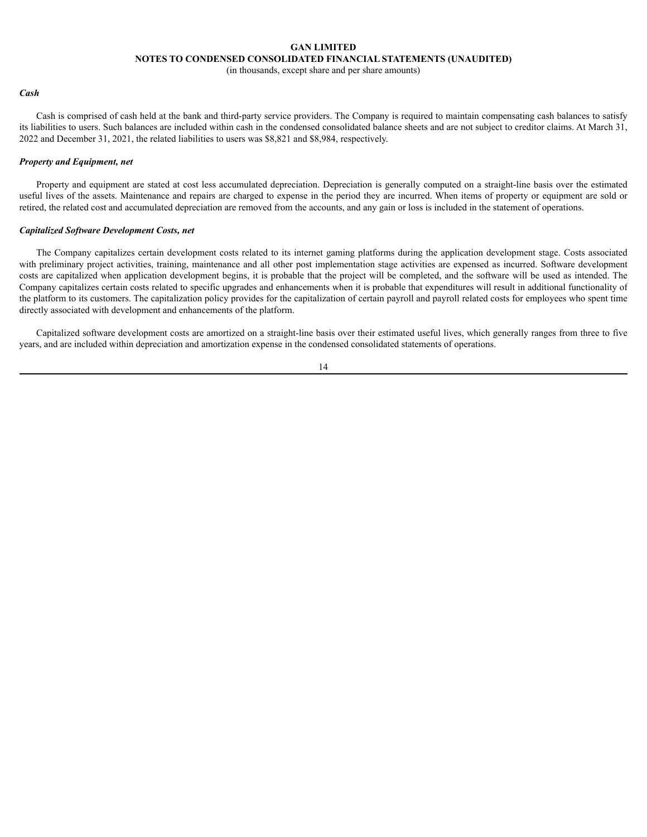(in thousands, except share and per share amounts)

### *Cash*

Cash is comprised of cash held at the bank and third-party service providers. The Company is required to maintain compensating cash balances to satisfy its liabilities to users. Such balances are included within cash in the condensed consolidated balance sheets and are not subject to creditor claims. At March 31, 2022 and December 31, 2021, the related liabilities to users was \$8,821 and \$8,984, respectively.

# *Property and Equipment, net*

Property and equipment are stated at cost less accumulated depreciation. Depreciation is generally computed on a straight-line basis over the estimated useful lives of the assets. Maintenance and repairs are charged to expense in the period they are incurred. When items of property or equipment are sold or retired, the related cost and accumulated depreciation are removed from the accounts, and any gain or loss is included in the statement of operations.

#### *Capitalized Software Development Costs, net*

The Company capitalizes certain development costs related to its internet gaming platforms during the application development stage. Costs associated with preliminary project activities, training, maintenance and all other post implementation stage activities are expensed as incurred. Software development costs are capitalized when application development begins, it is probable that the project will be completed, and the software will be used as intended. The Company capitalizes certain costs related to specific upgrades and enhancements when it is probable that expenditures will result in additional functionality of the platform to its customers. The capitalization policy provides for the capitalization of certain payroll and payroll related costs for employees who spent time directly associated with development and enhancements of the platform.

Capitalized software development costs are amortized on a straight-line basis over their estimated useful lives, which generally ranges from three to five years, and are included within depreciation and amortization expense in the condensed consolidated statements of operations.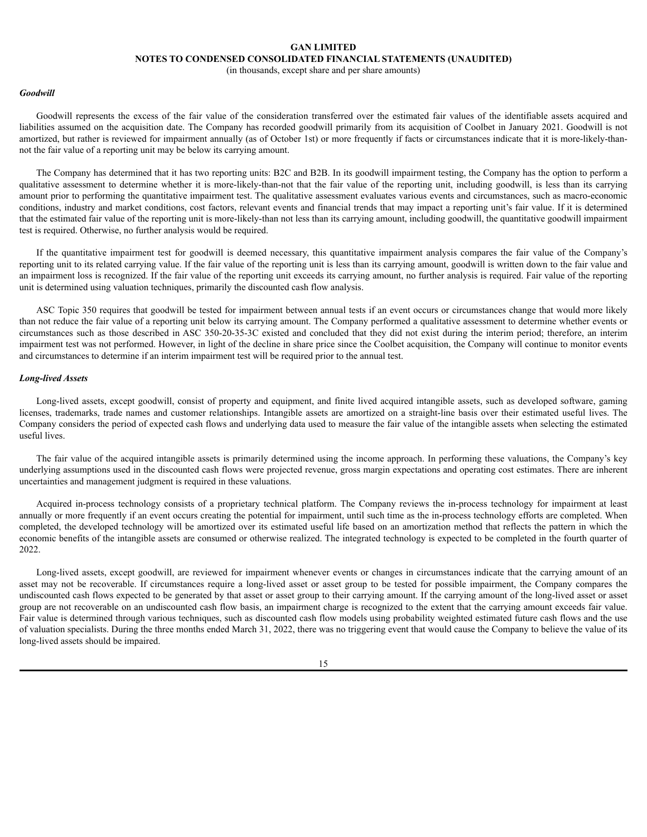(in thousands, except share and per share amounts)

#### *Goodwill*

Goodwill represents the excess of the fair value of the consideration transferred over the estimated fair values of the identifiable assets acquired and liabilities assumed on the acquisition date. The Company has recorded goodwill primarily from its acquisition of Coolbet in January 2021. Goodwill is not amortized, but rather is reviewed for impairment annually (as of October 1st) or more frequently if facts or circumstances indicate that it is more-likely-thannot the fair value of a reporting unit may be below its carrying amount.

The Company has determined that it has two reporting units: B2C and B2B. In its goodwill impairment testing, the Company has the option to perform a qualitative assessment to determine whether it is more-likely-than-not that the fair value of the reporting unit, including goodwill, is less than its carrying amount prior to performing the quantitative impairment test. The qualitative assessment evaluates various events and circumstances, such as macro-economic conditions, industry and market conditions, cost factors, relevant events and financial trends that may impact a reporting unit's fair value. If it is determined that the estimated fair value of the reporting unit is more-likely-than not less than its carrying amount, including goodwill, the quantitative goodwill impairment test is required. Otherwise, no further analysis would be required.

If the quantitative impairment test for goodwill is deemed necessary, this quantitative impairment analysis compares the fair value of the Company's reporting unit to its related carrying value. If the fair value of the reporting unit is less than its carrying amount, goodwill is written down to the fair value and an impairment loss is recognized. If the fair value of the reporting unit exceeds its carrying amount, no further analysis is required. Fair value of the reporting unit is determined using valuation techniques, primarily the discounted cash flow analysis.

ASC Topic 350 requires that goodwill be tested for impairment between annual tests if an event occurs or circumstances change that would more likely than not reduce the fair value of a reporting unit below its carrying amount. The Company performed a qualitative assessment to determine whether events or circumstances such as those described in ASC 350-20-35-3C existed and concluded that they did not exist during the interim period; therefore, an interim impairment test was not performed. However, in light of the decline in share price since the Coolbet acquisition, the Company will continue to monitor events and circumstances to determine if an interim impairment test will be required prior to the annual test.

#### *Long-lived Assets*

Long-lived assets, except goodwill, consist of property and equipment, and finite lived acquired intangible assets, such as developed software, gaming licenses, trademarks, trade names and customer relationships. Intangible assets are amortized on a straight-line basis over their estimated useful lives. The Company considers the period of expected cash flows and underlying data used to measure the fair value of the intangible assets when selecting the estimated useful lives.

The fair value of the acquired intangible assets is primarily determined using the income approach. In performing these valuations, the Company's key underlying assumptions used in the discounted cash flows were projected revenue, gross margin expectations and operating cost estimates. There are inherent uncertainties and management judgment is required in these valuations.

Acquired in-process technology consists of a proprietary technical platform. The Company reviews the in-process technology for impairment at least annually or more frequently if an event occurs creating the potential for impairment, until such time as the in-process technology efforts are completed. When completed, the developed technology will be amortized over its estimated useful life based on an amortization method that reflects the pattern in which the economic benefits of the intangible assets are consumed or otherwise realized. The integrated technology is expected to be completed in the fourth quarter of 2022.

Long-lived assets, except goodwill, are reviewed for impairment whenever events or changes in circumstances indicate that the carrying amount of an asset may not be recoverable. If circumstances require a long-lived asset or asset group to be tested for possible impairment, the Company compares the undiscounted cash flows expected to be generated by that asset or asset group to their carrying amount. If the carrying amount of the long-lived asset or asset group are not recoverable on an undiscounted cash flow basis, an impairment charge is recognized to the extent that the carrying amount exceeds fair value. Fair value is determined through various techniques, such as discounted cash flow models using probability weighted estimated future cash flows and the use of valuation specialists. During the three months ended March 31, 2022, there was no triggering event that would cause the Company to believe the value of its long-lived assets should be impaired.

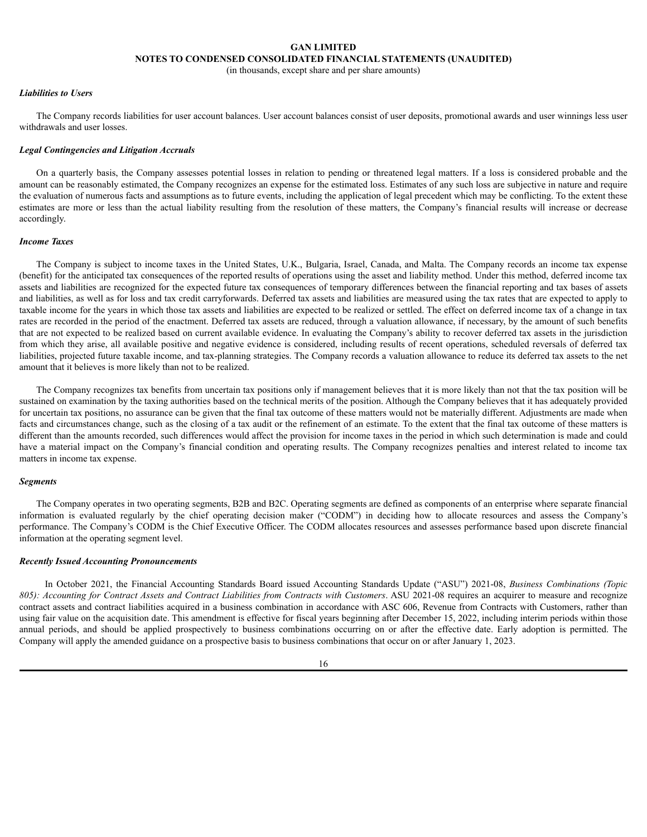**NOTES TO CONDENSED CONSOLIDATED FINANCIAL STATEMENTS (UNAUDITED)**

(in thousands, except share and per share amounts)

# *Liabilities to Users*

The Company records liabilities for user account balances. User account balances consist of user deposits, promotional awards and user winnings less user withdrawals and user losses.

### *Legal Contingencies and Litigation Accruals*

On a quarterly basis, the Company assesses potential losses in relation to pending or threatened legal matters. If a loss is considered probable and the amount can be reasonably estimated, the Company recognizes an expense for the estimated loss. Estimates of any such loss are subjective in nature and require the evaluation of numerous facts and assumptions as to future events, including the application of legal precedent which may be conflicting. To the extent these estimates are more or less than the actual liability resulting from the resolution of these matters, the Company's financial results will increase or decrease accordingly.

#### *Income Taxes*

The Company is subject to income taxes in the United States, U.K., Bulgaria, Israel, Canada, and Malta. The Company records an income tax expense (benefit) for the anticipated tax consequences of the reported results of operations using the asset and liability method. Under this method, deferred income tax assets and liabilities are recognized for the expected future tax consequences of temporary differences between the financial reporting and tax bases of assets and liabilities, as well as for loss and tax credit carryforwards. Deferred tax assets and liabilities are measured using the tax rates that are expected to apply to taxable income for the years in which those tax assets and liabilities are expected to be realized or settled. The effect on deferred income tax of a change in tax rates are recorded in the period of the enactment. Deferred tax assets are reduced, through a valuation allowance, if necessary, by the amount of such benefits that are not expected to be realized based on current available evidence. In evaluating the Company's ability to recover deferred tax assets in the jurisdiction from which they arise, all available positive and negative evidence is considered, including results of recent operations, scheduled reversals of deferred tax liabilities, projected future taxable income, and tax-planning strategies. The Company records a valuation allowance to reduce its deferred tax assets to the net amount that it believes is more likely than not to be realized.

The Company recognizes tax benefits from uncertain tax positions only if management believes that it is more likely than not that the tax position will be sustained on examination by the taxing authorities based on the technical merits of the position. Although the Company believes that it has adequately provided for uncertain tax positions, no assurance can be given that the final tax outcome of these matters would not be materially different. Adjustments are made when facts and circumstances change, such as the closing of a tax audit or the refinement of an estimate. To the extent that the final tax outcome of these matters is different than the amounts recorded, such differences would affect the provision for income taxes in the period in which such determination is made and could have a material impact on the Company's financial condition and operating results. The Company recognizes penalties and interest related to income tax matters in income tax expense.

#### *Segments*

The Company operates in two operating segments, B2B and B2C. Operating segments are defined as components of an enterprise where separate financial information is evaluated regularly by the chief operating decision maker ("CODM") in deciding how to allocate resources and assess the Company's performance. The Company's CODM is the Chief Executive Officer. The CODM allocates resources and assesses performance based upon discrete financial information at the operating segment level.

#### *Recently Issued Accounting Pronouncements*

In October 2021, the Financial Accounting Standards Board issued Accounting Standards Update ("ASU") 2021-08, *Business Combinations (Topic* 805): Accounting for Contract Assets and Contract Liabilities from Contracts with Customers. ASU 2021-08 requires an acquirer to measure and recognize contract assets and contract liabilities acquired in a business combination in accordance with ASC 606, Revenue from Contracts with Customers, rather than using fair value on the acquisition date. This amendment is effective for fiscal years beginning after December 15, 2022, including interim periods within those annual periods, and should be applied prospectively to business combinations occurring on or after the effective date. Early adoption is permitted. The Company will apply the amended guidance on a prospective basis to business combinations that occur on or after January 1, 2023.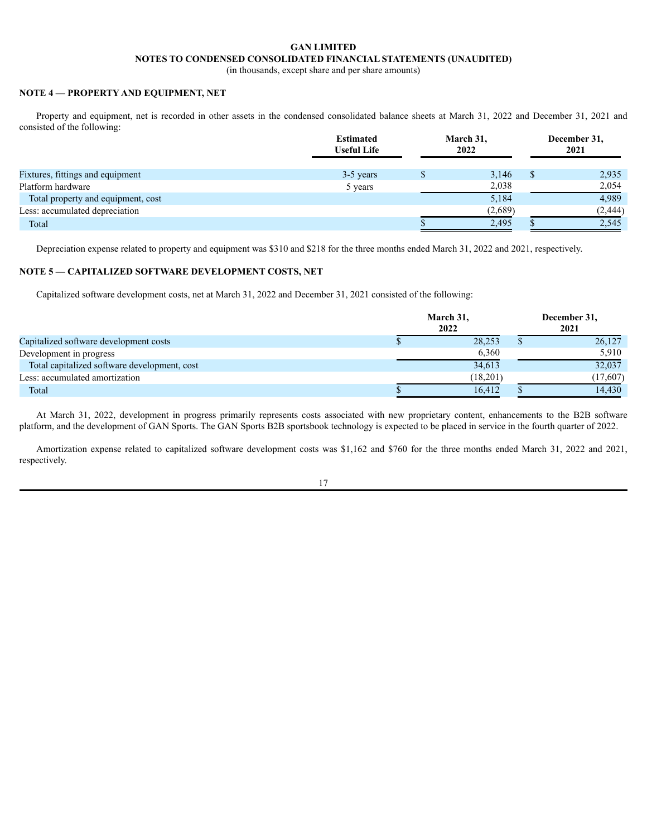(in thousands, except share and per share amounts)

# **NOTE 4 — PROPERTY AND EQUIPMENT, NET**

Property and equipment, net is recorded in other assets in the condensed consolidated balance sheets at March 31, 2022 and December 31, 2021 and consisted of the following:

|                                    | <b>Estimated</b><br><b>Useful Life</b> | March 31,<br>2022 |         | December 31,<br>2021 |          |
|------------------------------------|----------------------------------------|-------------------|---------|----------------------|----------|
| Fixtures, fittings and equipment   | 3-5 years                              |                   | 3,146   |                      | 2,935    |
| Platform hardware                  | 5 years                                |                   | 2,038   |                      | 2,054    |
| Total property and equipment, cost |                                        |                   | 5,184   |                      | 4,989    |
| Less: accumulated depreciation     |                                        |                   | (2,689) |                      | (2, 444) |
| Total                              |                                        |                   | 2,495   |                      | 2,545    |

Depreciation expense related to property and equipment was \$310 and \$218 for the three months ended March 31, 2022 and 2021, respectively.

# **NOTE 5 — CAPITALIZED SOFTWARE DEVELOPMENT COSTS, NET**

Capitalized software development costs, net at March 31, 2022 and December 31, 2021 consisted of the following:

|                                              | March 31,<br>2022 | December 31,<br>2021 |          |  |
|----------------------------------------------|-------------------|----------------------|----------|--|
| Capitalized software development costs       | 28,253            |                      | 26,127   |  |
| Development in progress                      | 6,360             |                      | 5.910    |  |
| Total capitalized software development, cost | 34,613            |                      | 32,037   |  |
| Less: accumulated amortization               | (18,201)          |                      | (17,607) |  |
| Total                                        | 16.412            |                      | 14,430   |  |

At March 31, 2022, development in progress primarily represents costs associated with new proprietary content, enhancements to the B2B software platform, and the development of GAN Sports. The GAN Sports B2B sportsbook technology is expected to be placed in service in the fourth quarter of 2022.

Amortization expense related to capitalized software development costs was \$1,162 and \$760 for the three months ended March 31, 2022 and 2021, respectively.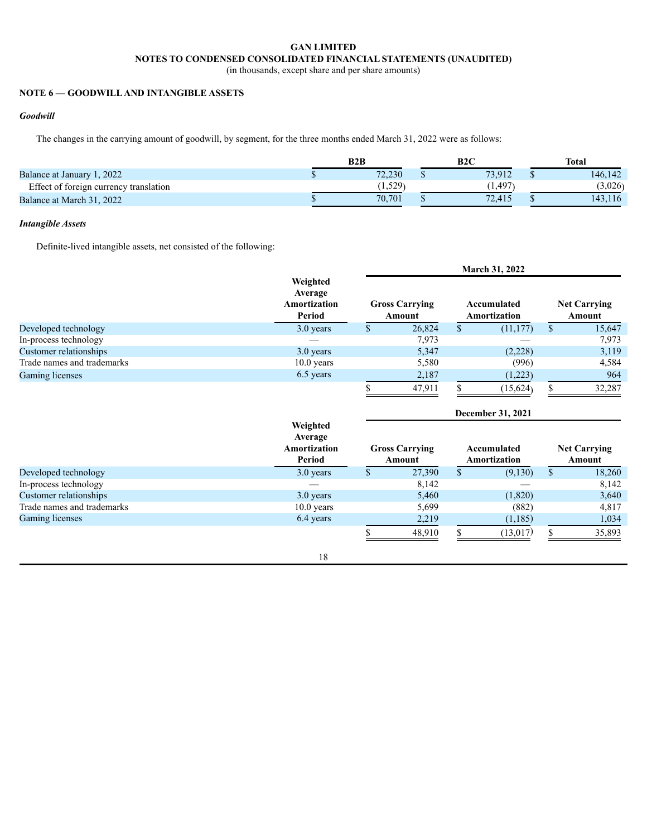(in thousands, except share and per share amounts)

# **NOTE 6 — GOODWILLAND INTANGIBLE ASSETS**

# *Goodwill*

The changes in the carrying amount of goodwill, by segment, for the three months ended March 31, 2022 were as follows:

|                                        | B2B    |  | B <sub>2</sub> C | Total |         |  |
|----------------------------------------|--------|--|------------------|-------|---------|--|
| Balance at January 1, 2022             | 72.230 |  | 73.912           |       | 146.142 |  |
| Effect of foreign currency translation | 1,529  |  | 1,497            |       | (3,026) |  |
| Balance at March 31, 2022              | 70.701 |  | 72.415           |       | 143,116 |  |

# *Intangible Assets*

Definite-lived intangible assets, net consisted of the following:

|                            |                                               | March 31, 2022                  |        |                             |           |                               |                               |  |
|----------------------------|-----------------------------------------------|---------------------------------|--------|-----------------------------|-----------|-------------------------------|-------------------------------|--|
|                            | Weighted<br>Average<br>Amortization<br>Period | <b>Gross Carrying</b><br>Amount |        | Accumulated<br>Amortization |           |                               | <b>Net Carrying</b><br>Amount |  |
| Developed technology       | 3.0 years                                     | $\mathbb{S}$                    | 26,824 | $\overline{\$}$             | (11, 177) | \$                            | 15,647                        |  |
| In-process technology      |                                               |                                 | 7,973  |                             |           |                               | 7,973                         |  |
| Customer relationships     | 3.0 years                                     |                                 | 5,347  |                             | (2,228)   |                               | 3,119                         |  |
| Trade names and trademarks | $10.0$ years                                  |                                 | 5,580  |                             | (996)     |                               | 4,584                         |  |
| Gaming licenses            | 6.5 years                                     |                                 | 2,187  |                             | (1,223)   |                               | 964                           |  |
|                            |                                               |                                 | 47,911 | \$                          | (15, 624) | \$                            | 32,287                        |  |
|                            |                                               | <b>Gross Carrying</b><br>Amount |        | December 31, 2021           |           |                               |                               |  |
|                            | Weighted<br>Average<br>Amortization<br>Period |                                 |        | Accumulated<br>Amortization |           | <b>Net Carrying</b><br>Amount |                               |  |
| Developed technology       | 3.0 years                                     | \$                              | 27,390 | $\mathbf S$                 | (9,130)   | $\mathbb{S}$                  | 18,260                        |  |
| In-process technology      |                                               |                                 | 8,142  |                             |           |                               | 8,142                         |  |
| Customer relationships     | 3.0 years                                     |                                 | 5,460  |                             | (1,820)   |                               | 3,640                         |  |
| Trade names and trademarks | $10.0$ years                                  |                                 | 5,699  |                             | (882)     |                               | 4,817                         |  |
| Gaming licenses            | 6.4 years                                     |                                 | 2,219  |                             | (1,185)   |                               | 1,034                         |  |
|                            |                                               |                                 | 48,910 |                             | (13, 017) | \$                            | 35,893                        |  |
|                            | 18                                            |                                 |        |                             |           |                               |                               |  |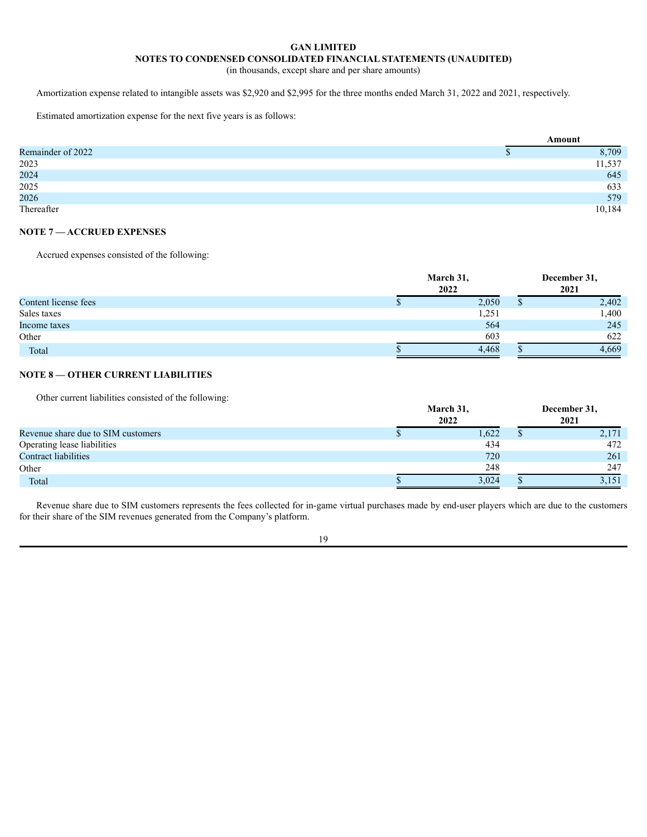# **NOTES TO CONDENSED CONSOLIDATED FINANCIAL STATEMENTS (UNAUDITED)**

(in thousands, except share and per share amounts)

Amortization expense related to intangible assets was \$2,920 and \$2,995 for the three months ended March 31, 2022 and 2021, respectively.

Estimated amortization expense for the next five years is as follows:

|                   | Amount |
|-------------------|--------|
| Remainder of 2022 | 8,709  |
| 2023              | 11,537 |
| 2024              | 645    |
| 2025              | 633    |
| 2026              | 579    |
| Thereafter        | 10,184 |

# **NOTE 7 — ACCRUED EXPENSES**

Accrued expenses consisted of the following:

|                      | March 31,<br>2022 |       |  | December 31,<br>2021 |  |  |
|----------------------|-------------------|-------|--|----------------------|--|--|
| Content license fees |                   | 2,050 |  | 2,402                |  |  |
| Sales taxes          |                   | 1,251 |  | 1,400                |  |  |
| Income taxes         |                   | 564   |  | 245                  |  |  |
| Other                |                   | 603   |  | 622                  |  |  |
| Total                |                   | 4,468 |  | 4,669                |  |  |

# **NOTE 8 — OTHER CURRENT LIABILITIES**

Other current liabilities consisted of the following:

|                                    | March 31,<br>2022 |       |  | December 31,<br>2021 |  |  |
|------------------------------------|-------------------|-------|--|----------------------|--|--|
| Revenue share due to SIM customers |                   | 1,622 |  | 2,171                |  |  |
| Operating lease liabilities        |                   | 434   |  | 472                  |  |  |
| Contract liabilities               |                   | 720   |  | 261                  |  |  |
| Other                              |                   | 248   |  | 247                  |  |  |
| Total                              |                   | 3.024 |  | 3,151                |  |  |

**March 31,**

Revenue share due to SIM customers represents the fees collected for in-game virtual purchases made by end-user players which are due to the customers for their share of the SIM revenues generated from the Company's platform.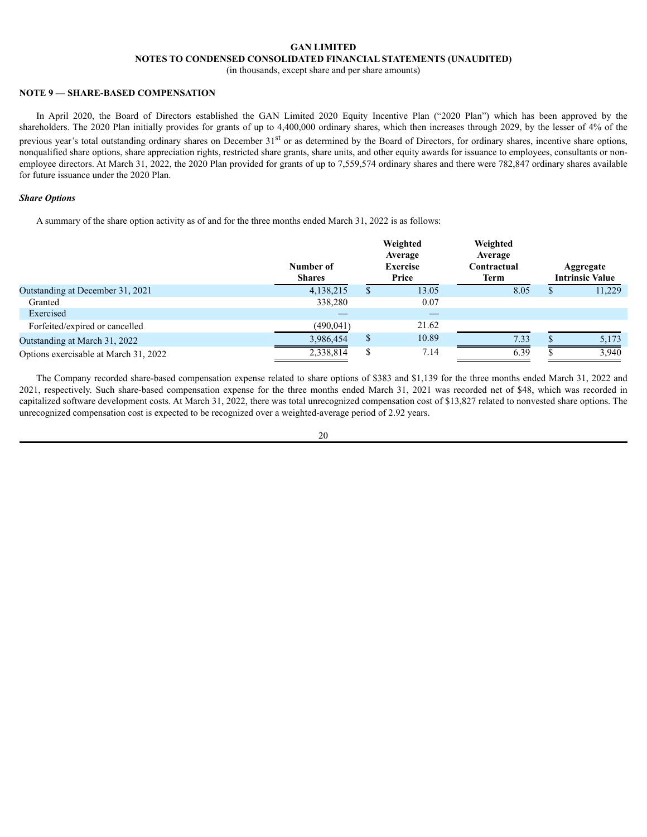(in thousands, except share and per share amounts)

# **NOTE 9 — SHARE-BASED COMPENSATION**

In April 2020, the Board of Directors established the GAN Limited 2020 Equity Incentive Plan ("2020 Plan") which has been approved by the shareholders. The 2020 Plan initially provides for grants of up to 4,400,000 ordinary shares, which then increases through 2029, by the lesser of 4% of the previous year's total outstanding ordinary shares on December 31<sup>st</sup> or as determined by the Board of Directors, for ordinary shares, incentive share options, nonqualified share options, share appreciation rights, restricted share grants, share units, and other equity awards for issuance to employees, consultants or nonemployee directors. At March 31, 2022, the 2020 Plan provided for grants of up to 7,559,574 ordinary shares and there were 782,847 ordinary shares available for future issuance under the 2020 Plan.

# *Share Options*

A summary of the share option activity as of and for the three months ended March 31, 2022 is as follows:

|                                       | Number of<br><b>Shares</b> | Weighted<br>Average<br><b>Exercise</b><br>Price |       | Weighted<br>Average<br>Contractual<br>Term |   | Aggregate<br><b>Intrinsic Value</b> |
|---------------------------------------|----------------------------|-------------------------------------------------|-------|--------------------------------------------|---|-------------------------------------|
| Outstanding at December 31, 2021      | 4,138,215                  | аĐ.                                             | 13.05 | 8.05                                       | Ф | 11,229                              |
| Granted                               | 338,280                    |                                                 | 0.07  |                                            |   |                                     |
| Exercised                             |                            |                                                 |       |                                            |   |                                     |
| Forfeited/expired or cancelled        | (490, 041)                 |                                                 | 21.62 |                                            |   |                                     |
| Outstanding at March 31, 2022         | 3,986,454                  | D                                               | 10.89 | 7.33                                       |   | 5,173                               |
| Options exercisable at March 31, 2022 | 2,338,814                  | ۰D                                              | 7.14  | 6.39                                       |   | 3,940                               |

The Company recorded share-based compensation expense related to share options of \$383 and \$1,139 for the three months ended March 31, 2022 and 2021, respectively. Such share-based compensation expense for the three months ended March 31, 2021 was recorded net of \$48, which was recorded in capitalized software development costs. At March 31, 2022, there was total unrecognized compensation cost of \$13,827 related to nonvested share options. The unrecognized compensation cost is expected to be recognized over a weighted-average period of 2.92 years.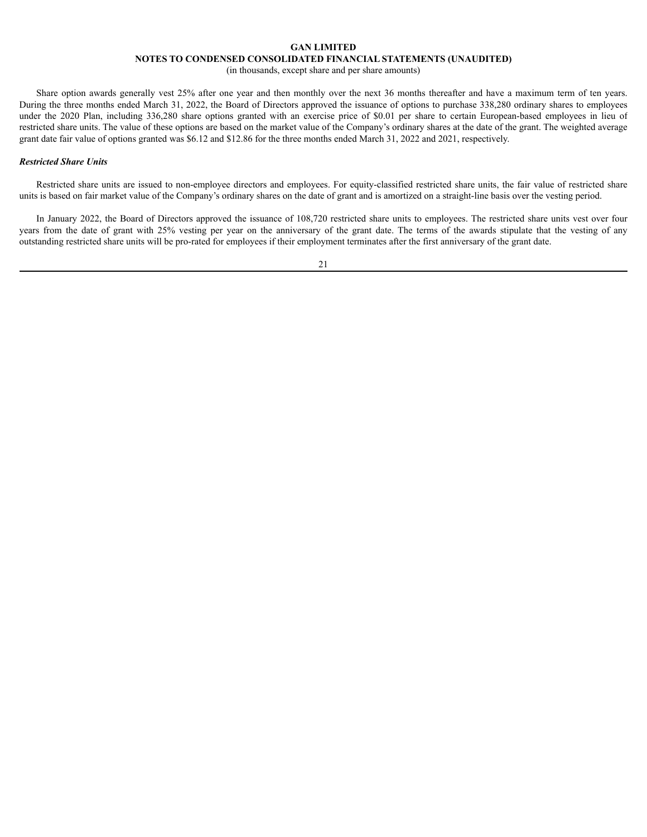(in thousands, except share and per share amounts)

Share option awards generally vest 25% after one year and then monthly over the next 36 months thereafter and have a maximum term of ten years. During the three months ended March 31, 2022, the Board of Directors approved the issuance of options to purchase 338,280 ordinary shares to employees under the 2020 Plan, including 336,280 share options granted with an exercise price of \$0.01 per share to certain European-based employees in lieu of restricted share units. The value of these options are based on the market value of the Company's ordinary shares at the date of the grant. The weighted average grant date fair value of options granted was \$6.12 and \$12.86 for the three months ended March 31, 2022 and 2021, respectively.

### *Restricted Share Units*

Restricted share units are issued to non-employee directors and employees. For equity-classified restricted share units, the fair value of restricted share units is based on fair market value of the Company's ordinary shares on the date of grant and is amortized on a straight-line basis over the vesting period.

In January 2022, the Board of Directors approved the issuance of 108,720 restricted share units to employees. The restricted share units vest over four years from the date of grant with 25% vesting per year on the anniversary of the grant date. The terms of the awards stipulate that the vesting of any outstanding restricted share units will be pro-rated for employees if their employment terminates after the first anniversary of the grant date.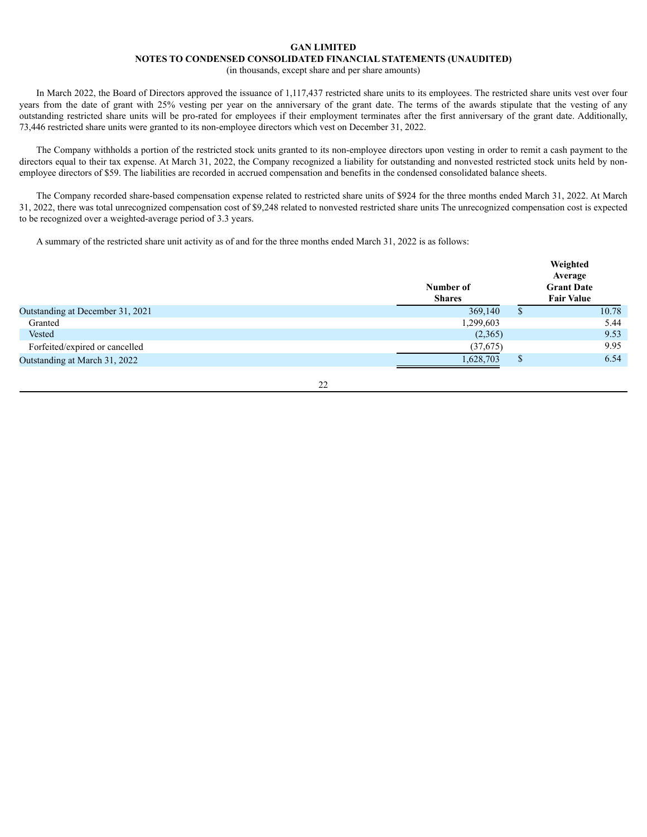(in thousands, except share and per share amounts)

In March 2022, the Board of Directors approved the issuance of 1,117,437 restricted share units to its employees. The restricted share units vest over four years from the date of grant with 25% vesting per year on the anniversary of the grant date. The terms of the awards stipulate that the vesting of any outstanding restricted share units will be pro-rated for employees if their employment terminates after the first anniversary of the grant date. Additionally, 73,446 restricted share units were granted to its non-employee directors which vest on December 31, 2022.

The Company withholds a portion of the restricted stock units granted to its non-employee directors upon vesting in order to remit a cash payment to the directors equal to their tax expense. At March 31, 2022, the Company recognized a liability for outstanding and nonvested restricted stock units held by nonemployee directors of \$59. The liabilities are recorded in accrued compensation and benefits in the condensed consolidated balance sheets.

The Company recorded share-based compensation expense related to restricted share units of \$924 for the three months ended March 31, 2022. At March 31, 2022, there was total unrecognized compensation cost of \$9,248 related to nonvested restricted share units The unrecognized compensation cost is expected to be recognized over a weighted-average period of 3.3 years.

A summary of the restricted share unit activity as of and for the three months ended March 31, 2022 is as follows:

|                                  | Number of<br><b>Shares</b> |   | Weighted<br>Average<br><b>Grant Date</b><br><b>Fair Value</b> |
|----------------------------------|----------------------------|---|---------------------------------------------------------------|
| Outstanding at December 31, 2021 | 369,140                    | S | 10.78                                                         |
| Granted                          | 1,299,603                  |   | 5.44                                                          |
| Vested                           | (2,365)                    |   | 9.53                                                          |
| Forfeited/expired or cancelled   | (37,675)                   |   | 9.95                                                          |
| Outstanding at March 31, 2022    | 1,628,703                  | S | 6.54                                                          |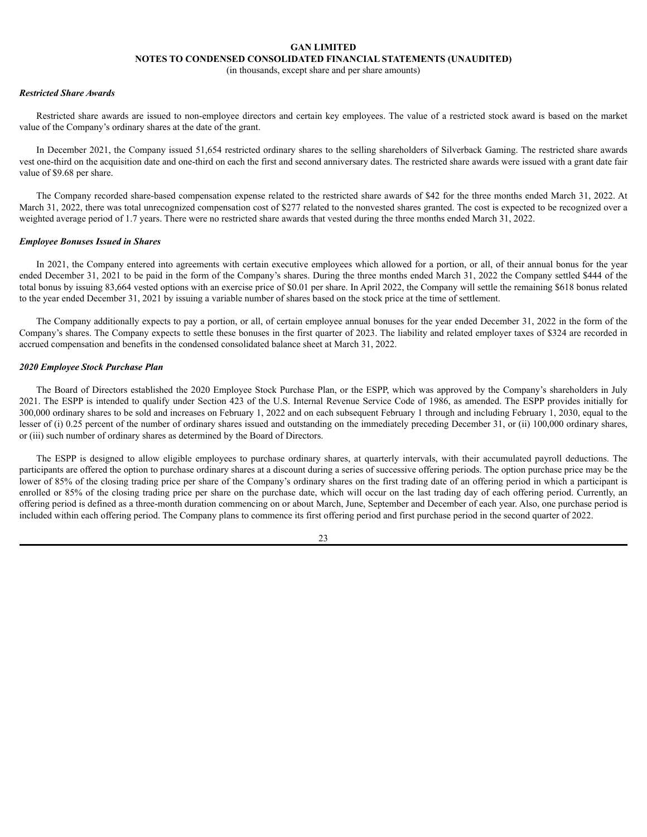**NOTES TO CONDENSED CONSOLIDATED FINANCIAL STATEMENTS (UNAUDITED)**

(in thousands, except share and per share amounts)

### *Restricted Share Awards*

Restricted share awards are issued to non-employee directors and certain key employees. The value of a restricted stock award is based on the market value of the Company's ordinary shares at the date of the grant.

In December 2021, the Company issued 51,654 restricted ordinary shares to the selling shareholders of Silverback Gaming. The restricted share awards vest one-third on the acquisition date and one-third on each the first and second anniversary dates. The restricted share awards were issued with a grant date fair value of \$9.68 per share.

The Company recorded share-based compensation expense related to the restricted share awards of \$42 for the three months ended March 31, 2022. At March 31, 2022, there was total unrecognized compensation cost of \$277 related to the nonvested shares granted. The cost is expected to be recognized over a weighted average period of 1.7 years. There were no restricted share awards that vested during the three months ended March 31, 2022.

#### *Employee Bonuses Issued in Shares*

In 2021, the Company entered into agreements with certain executive employees which allowed for a portion, or all, of their annual bonus for the year ended December 31, 2021 to be paid in the form of the Company's shares. During the three months ended March 31, 2022 the Company settled \$444 of the total bonus by issuing 83,664 vested options with an exercise price of \$0.01 per share. In April 2022, the Company will settle the remaining \$618 bonus related to the year ended December 31, 2021 by issuing a variable number of shares based on the stock price at the time of settlement.

The Company additionally expects to pay a portion, or all, of certain employee annual bonuses for the year ended December 31, 2022 in the form of the Company's shares. The Company expects to settle these bonuses in the first quarter of 2023. The liability and related employer taxes of \$324 are recorded in accrued compensation and benefits in the condensed consolidated balance sheet at March 31, 2022.

#### *2020 Employee Stock Purchase Plan*

The Board of Directors established the 2020 Employee Stock Purchase Plan, or the ESPP, which was approved by the Company's shareholders in July 2021. The ESPP is intended to qualify under Section 423 of the U.S. Internal Revenue Service Code of 1986, as amended. The ESPP provides initially for 300,000 ordinary shares to be sold and increases on February 1, 2022 and on each subsequent February 1 through and including February 1, 2030, equal to the lesser of (i) 0.25 percent of the number of ordinary shares issued and outstanding on the immediately preceding December 31, or (ii) 100,000 ordinary shares, or (iii) such number of ordinary shares as determined by the Board of Directors.

The ESPP is designed to allow eligible employees to purchase ordinary shares, at quarterly intervals, with their accumulated payroll deductions. The participants are offered the option to purchase ordinary shares at a discount during a series of successive offering periods. The option purchase price may be the lower of 85% of the closing trading price per share of the Company's ordinary shares on the first trading date of an offering period in which a participant is enrolled or 85% of the closing trading price per share on the purchase date, which will occur on the last trading day of each offering period. Currently, an offering period is defined as a three-month duration commencing on or about March, June, September and December of each year. Also, one purchase period is included within each offering period. The Company plans to commence its first offering period and first purchase period in the second quarter of 2022.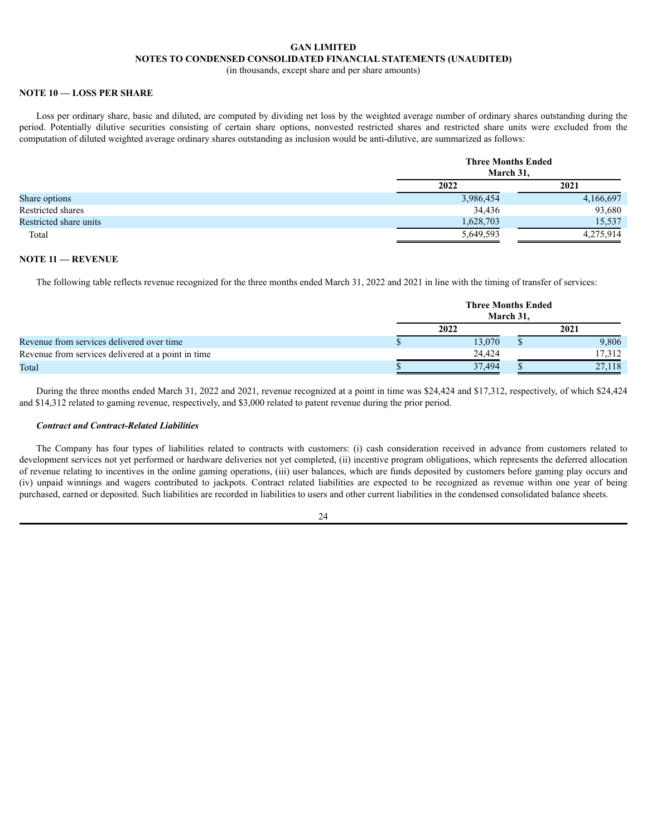(in thousands, except share and per share amounts)

# **NOTE 10 — LOSS PER SHARE**

Loss per ordinary share, basic and diluted, are computed by dividing net loss by the weighted average number of ordinary shares outstanding during the period. Potentially dilutive securities consisting of certain share options, nonvested restricted shares and restricted share units were excluded from the computation of diluted weighted average ordinary shares outstanding as inclusion would be anti-dilutive, are summarized as follows:

|                        |           | <b>Three Months Ended</b><br>March 31, |  |  |  |
|------------------------|-----------|----------------------------------------|--|--|--|
|                        | 2022      | 2021                                   |  |  |  |
| Share options          | 3,986,454 | 4,166,697                              |  |  |  |
| Restricted shares      | 34,436    | 93,680                                 |  |  |  |
| Restricted share units | 1,628,703 | 15,537                                 |  |  |  |
| Total                  | 5,649,593 | 4,275,914                              |  |  |  |

#### **NOTE 11 — REVENUE**

The following table reflects revenue recognized for the three months ended March 31, 2022 and 2021 in line with the timing of transfer of services:

|                                                    | <b>Three Months Ended</b><br>March 31, |        |  |        |  |
|----------------------------------------------------|----------------------------------------|--------|--|--------|--|
|                                                    |                                        | 2022   |  | 2021   |  |
| Revenue from services delivered over time          |                                        | 13,070 |  | 9,806  |  |
| Revenue from services delivered at a point in time |                                        | 24.424 |  | 17,312 |  |
| Total                                              |                                        | 37.494 |  | 27,118 |  |

During the three months ended March 31, 2022 and 2021, revenue recognized at a point in time was \$24,424 and \$17,312, respectively, of which \$24,424 and \$14,312 related to gaming revenue, respectively, and \$3,000 related to patent revenue during the prior period.

### *Contract and Contract-Related Liabilities*

The Company has four types of liabilities related to contracts with customers: (i) cash consideration received in advance from customers related to development services not yet performed or hardware deliveries not yet completed, (ii) incentive program obligations, which represents the deferred allocation of revenue relating to incentives in the online gaming operations, (iii) user balances, which are funds deposited by customers before gaming play occurs and (iv) unpaid winnings and wagers contributed to jackpots. Contract related liabilities are expected to be recognized as revenue within one year of being purchased, earned or deposited. Such liabilities are recorded in liabilities to users and other current liabilities in the condensed consolidated balance sheets.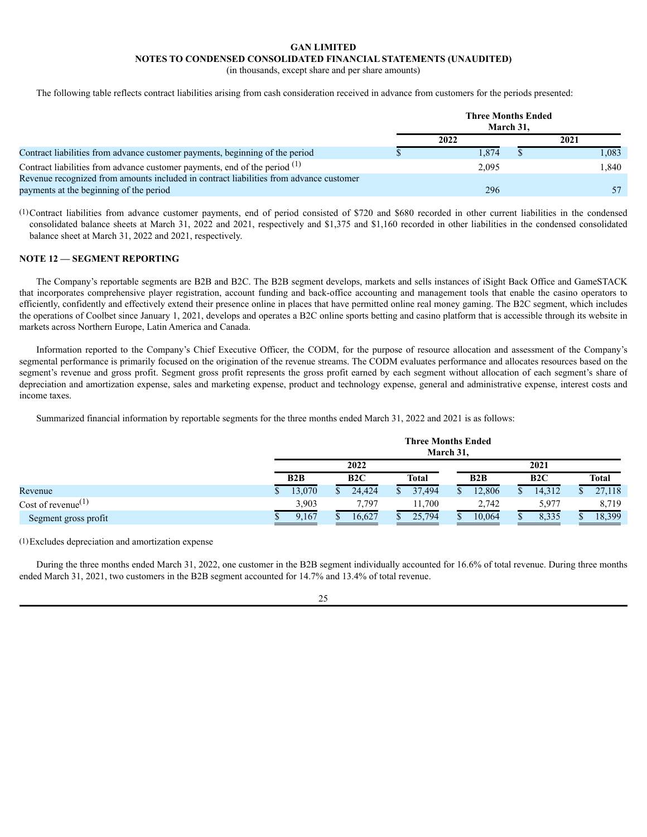# **NOTES TO CONDENSED CONSOLIDATED FINANCIAL STATEMENTS (UNAUDITED)**

(in thousands, except share and per share amounts)

The following table reflects contract liabilities arising from cash consideration received in advance from customers for the periods presented:

|                                                                                        | <b>Three Months Ended</b><br>March 31. |       |  |       |  |
|----------------------------------------------------------------------------------------|----------------------------------------|-------|--|-------|--|
|                                                                                        |                                        | 2022  |  | 2021  |  |
| Contract liabilities from advance customer payments, beginning of the period           |                                        | 1.874 |  | 1,083 |  |
| Contract liabilities from advance customer payments, end of the period $(1)$           |                                        | 2,095 |  | 1.840 |  |
| Revenue recognized from amounts included in contract liabilities from advance customer |                                        |       |  |       |  |
| payments at the beginning of the period                                                |                                        | 296   |  |       |  |

(1)Contract liabilities from advance customer payments, end of period consisted of \$720 and \$680 recorded in other current liabilities in the condensed consolidated balance sheets at March 31, 2022 and 2021, respectively and \$1,375 and \$1,160 recorded in other liabilities in the condensed consolidated balance sheet at March 31, 2022 and 2021, respectively.

### **NOTE 12 — SEGMENT REPORTING**

The Company's reportable segments are B2B and B2C. The B2B segment develops, markets and sells instances of iSight Back Office and GameSTACK that incorporates comprehensive player registration, account funding and back-office accounting and management tools that enable the casino operators to efficiently, confidently and effectively extend their presence online in places that have permitted online real money gaming. The B2C segment, which includes the operations of Coolbet since January 1, 2021, develops and operates a B2C online sports betting and casino platform that is accessible through its website in markets across Northern Europe, Latin America and Canada.

Information reported to the Company's Chief Executive Officer, the CODM, for the purpose of resource allocation and assessment of the Company's segmental performance is primarily focused on the origination of the revenue streams. The CODM evaluates performance and allocates resources based on the segment's revenue and gross profit. Segment gross profit represents the gross profit earned by each segment without allocation of each segment's share of depreciation and amortization expense, sales and marketing expense, product and technology expense, general and administrative expense, interest costs and income taxes.

Summarized financial information by reportable segments for the three months ended March 31, 2022 and 2021 is as follows:

|                                | <b>Three Months Ended</b><br>March 31. |  |        |  |              |  |        |        |  |              |
|--------------------------------|----------------------------------------|--|--------|--|--------------|--|--------|--------|--|--------------|
|                                |                                        |  | 2022   |  |              |  |        | 2021   |  |              |
|                                | B2B                                    |  | B2C    |  | <b>Total</b> |  | B2B    | B2C    |  | <b>Total</b> |
| Revenue                        | 13,070                                 |  | 24,424 |  | 37,494       |  | 12,806 | 14,312 |  | 27,118       |
| Cost of revenue <sup>(1)</sup> | 3,903                                  |  | 7.797  |  | 11,700       |  | 2.742  | 5,977  |  | 8.719        |
| Segment gross profit           | .167<br>Q                              |  | 16,627 |  | 25,794       |  | 10,064 | 8,335  |  | 18,399       |

(1)Excludes depreciation and amortization expense

During the three months ended March 31, 2022, one customer in the B2B segment individually accounted for 16.6% of total revenue. During three months ended March 31, 2021, two customers in the B2B segment accounted for 14.7% and 13.4% of total revenue.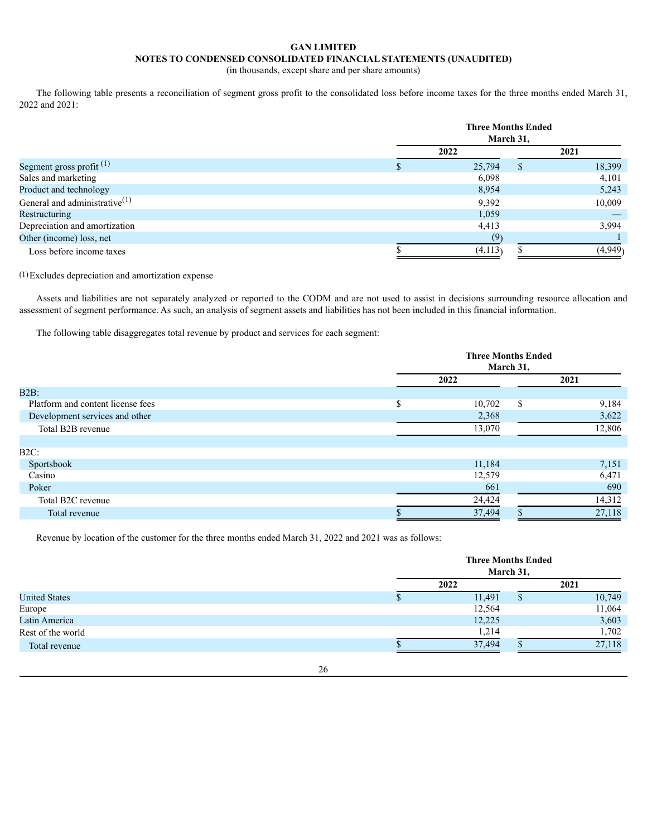(in thousands, except share and per share amounts)

The following table presents a reconciliation of segment gross profit to the consolidated loss before income taxes for the three months ended March 31, 2022 and 2021:

|                                  | <b>Three Months Ended</b><br>March 31, |              |         |  |  |
|----------------------------------|----------------------------------------|--------------|---------|--|--|
|                                  | 2022                                   |              | 2021    |  |  |
| Segment gross profit $(1)$       | 25,794                                 | <sup>S</sup> | 18,399  |  |  |
| Sales and marketing              | 6,098                                  |              | 4,101   |  |  |
| Product and technology           | 8,954                                  |              | 5,243   |  |  |
| General and administrative $(1)$ | 9,392                                  |              | 10,009  |  |  |
| Restructuring                    | 1,059                                  |              |         |  |  |
| Depreciation and amortization    | 4,413                                  |              | 3,994   |  |  |
| Other (income) loss, net         | (9)                                    |              |         |  |  |
| Loss before income taxes         | (4,113)                                |              | (4,949) |  |  |

(1)Excludes depreciation and amortization expense

Assets and liabilities are not separately analyzed or reported to the CODM and are not used to assist in decisions surrounding resource allocation and assessment of segment performance. As such, an analysis of segment assets and liabilities has not been included in this financial information.

The following table disaggregates total revenue by product and services for each segment:

|                                   |      | <b>Three Months Ended</b><br>March 31, |    |        |  |  |
|-----------------------------------|------|----------------------------------------|----|--------|--|--|
|                                   | 2022 |                                        |    | 2021   |  |  |
| B2B:                              |      |                                        |    |        |  |  |
| Platform and content license fees | \$   | 10,702                                 | \$ | 9,184  |  |  |
| Development services and other    |      | 2,368                                  |    | 3,622  |  |  |
| Total B2B revenue                 |      | 13,070                                 |    | 12,806 |  |  |
|                                   |      |                                        |    |        |  |  |
| $B2C$ :                           |      |                                        |    |        |  |  |
| Sportsbook                        |      | 11,184                                 |    | 7,151  |  |  |
| Casino                            |      | 12,579                                 |    | 6,471  |  |  |
| Poker                             |      | 661                                    |    | 690    |  |  |
| Total B2C revenue                 |      | 24,424                                 |    | 14,312 |  |  |
| Total revenue                     |      | 37,494                                 |    | 27,118 |  |  |

Revenue by location of the customer for the three months ended March 31, 2022 and 2021 was as follows:

|                      | <b>Three Months Ended</b><br>March 31, |        |
|----------------------|----------------------------------------|--------|
|                      | 2022                                   | 2021   |
| <b>United States</b> | 11,491                                 | 10,749 |
| Europe               | 12,564                                 | 11,064 |
| Latin America        | 12,225                                 | 3,603  |
| Rest of the world    | 1,214                                  | 1,702  |
| Total revenue        | 37,494                                 | 27,118 |
|                      |                                        |        |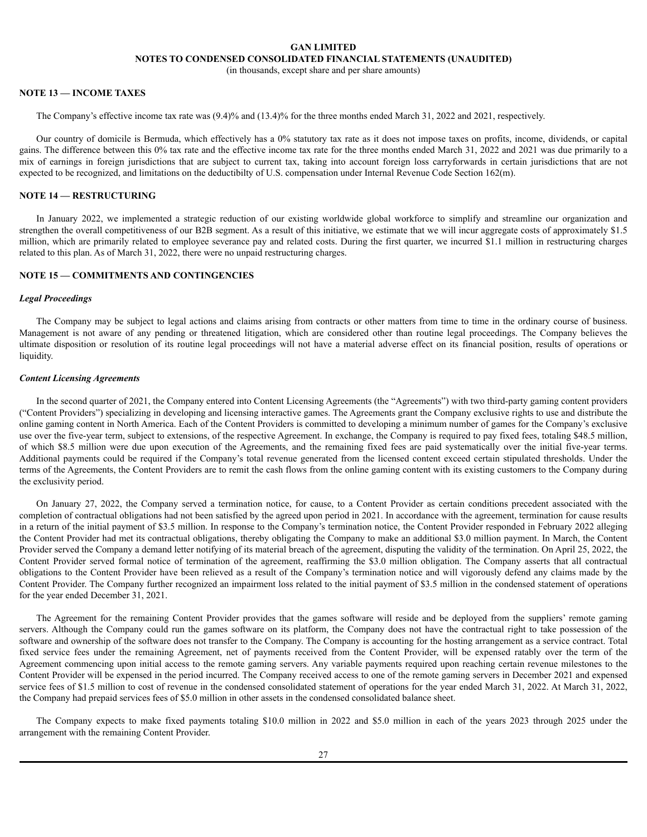(in thousands, except share and per share amounts)

# **NOTE 13 — INCOME TAXES**

The Company's effective income tax rate was (9.4)% and (13.4)% for the three months ended March 31, 2022 and 2021, respectively.

Our country of domicile is Bermuda, which effectively has a 0% statutory tax rate as it does not impose taxes on profits, income, dividends, or capital gains. The difference between this 0% tax rate and the effective income tax rate for the three months ended March 31, 2022 and 2021 was due primarily to a mix of earnings in foreign jurisdictions that are subject to current tax, taking into account foreign loss carryforwards in certain jurisdictions that are not expected to be recognized, and limitations on the deductibilty of U.S. compensation under Internal Revenue Code Section 162(m).

# **NOTE 14 — RESTRUCTURING**

In January 2022, we implemented a strategic reduction of our existing worldwide global workforce to simplify and streamline our organization and strengthen the overall competitiveness of our B2B segment. As a result of this initiative, we estimate that we will incur aggregate costs of approximately \$1.5 million, which are primarily related to employee severance pay and related costs. During the first quarter, we incurred \$1.1 million in restructuring charges related to this plan. As of March 31, 2022, there were no unpaid restructuring charges.

### **NOTE 15 — COMMITMENTS AND CONTINGENCIES**

#### *Legal Proceedings*

The Company may be subject to legal actions and claims arising from contracts or other matters from time to time in the ordinary course of business. Management is not aware of any pending or threatened litigation, which are considered other than routine legal proceedings. The Company believes the ultimate disposition or resolution of its routine legal proceedings will not have a material adverse effect on its financial position, results of operations or liquidity.

#### *Content Licensing Agreements*

In the second quarter of 2021, the Company entered into Content Licensing Agreements (the "Agreements") with two third-party gaming content providers ("Content Providers") specializing in developing and licensing interactive games. The Agreements grant the Company exclusive rights to use and distribute the online gaming content in North America. Each of the Content Providers is committed to developing a minimum number of games for the Company's exclusive use over the five-year term, subject to extensions, of the respective Agreement. In exchange, the Company is required to pay fixed fees, totaling \$48.5 million, of which \$8.5 million were due upon execution of the Agreements, and the remaining fixed fees are paid systematically over the initial five-year terms. Additional payments could be required if the Company's total revenue generated from the licensed content exceed certain stipulated thresholds. Under the terms of the Agreements, the Content Providers are to remit the cash flows from the online gaming content with its existing customers to the Company during the exclusivity period.

On January 27, 2022, the Company served a termination notice, for cause, to a Content Provider as certain conditions precedent associated with the completion of contractual obligations had not been satisfied by the agreed upon period in 2021. In accordance with the agreement, termination for cause results in a return of the initial payment of \$3.5 million. In response to the Company's termination notice, the Content Provider responded in February 2022 alleging the Content Provider had met its contractual obligations, thereby obligating the Company to make an additional \$3.0 million payment. In March, the Content Provider served the Company a demand letter notifying of its material breach of the agreement, disputing the validity of the termination. On April 25, 2022, the Content Provider served formal notice of termination of the agreement, reaffirming the \$3.0 million obligation. The Company asserts that all contractual obligations to the Content Provider have been relieved as a result of the Company's termination notice and will vigorously defend any claims made by the Content Provider. The Company further recognized an impairment loss related to the initial payment of \$3.5 million in the condensed statement of operations for the year ended December 31, 2021.

The Agreement for the remaining Content Provider provides that the games software will reside and be deployed from the suppliers' remote gaming servers. Although the Company could run the games software on its platform, the Company does not have the contractual right to take possession of the software and ownership of the software does not transfer to the Company. The Company is accounting for the hosting arrangement as a service contract. Total fixed service fees under the remaining Agreement, net of payments received from the Content Provider, will be expensed ratably over the term of the Agreement commencing upon initial access to the remote gaming servers. Any variable payments required upon reaching certain revenue milestones to the Content Provider will be expensed in the period incurred. The Company received access to one of the remote gaming servers in December 2021 and expensed service fees of \$1.5 million to cost of revenue in the condensed consolidated statement of operations for the year ended March 31, 2022. At March 31, 2022, the Company had prepaid services fees of \$5.0 million in other assets in the condensed consolidated balance sheet.

The Company expects to make fixed payments totaling \$10.0 million in 2022 and \$5.0 million in each of the years 2023 through 2025 under the arrangement with the remaining Content Provider.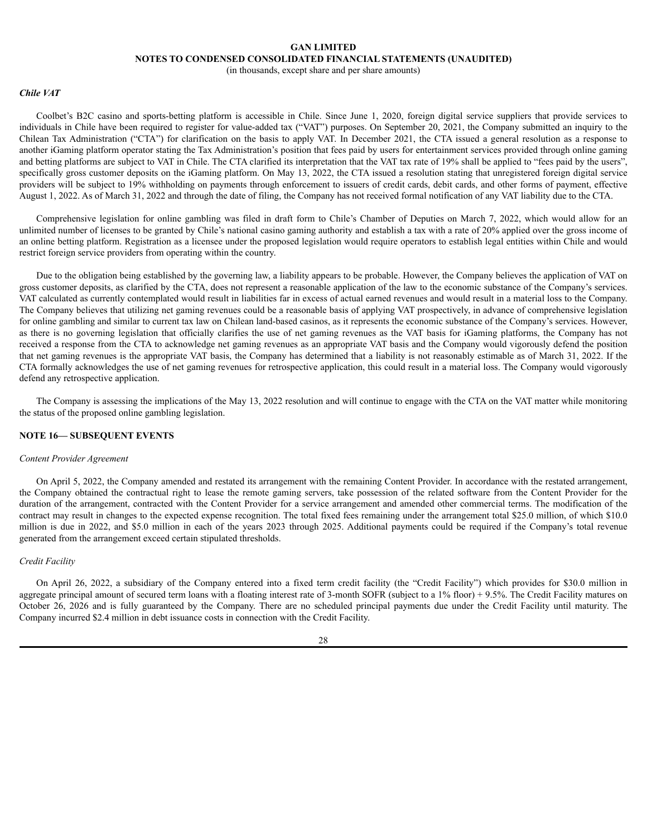(in thousands, except share and per share amounts)

# *Chile VAT*

Coolbet's B2C casino and sports-betting platform is accessible in Chile. Since June 1, 2020, foreign digital service suppliers that provide services to individuals in Chile have been required to register for value-added tax ("VAT") purposes. On September 20, 2021, the Company submitted an inquiry to the Chilean Tax Administration ("CTA") for clarification on the basis to apply VAT. In December 2021, the CTA issued a general resolution as a response to another iGaming platform operator stating the Tax Administration's position that fees paid by users for entertainment services provided through online gaming and betting platforms are subject to VAT in Chile. The CTA clarified its interpretation that the VAT tax rate of 19% shall be applied to "fees paid by the users", specifically gross customer deposits on the iGaming platform. On May 13, 2022, the CTA issued a resolution stating that unregistered foreign digital service providers will be subject to 19% withholding on payments through enforcement to issuers of credit cards, debit cards, and other forms of payment, effective August 1, 2022. As of March 31, 2022 and through the date of filing, the Company has not received formal notification of any VAT liability due to the CTA.

Comprehensive legislation for online gambling was filed in draft form to Chile's Chamber of Deputies on March 7, 2022, which would allow for an unlimited number of licenses to be granted by Chile's national casino gaming authority and establish a tax with a rate of 20% applied over the gross income of an online betting platform. Registration as a licensee under the proposed legislation would require operators to establish legal entities within Chile and would restrict foreign service providers from operating within the country.

Due to the obligation being established by the governing law, a liability appears to be probable. However, the Company believes the application of VAT on gross customer deposits, as clarified by the CTA, does not represent a reasonable application of the law to the economic substance of the Company's services. VAT calculated as currently contemplated would result in liabilities far in excess of actual earned revenues and would result in a material loss to the Company. The Company believes that utilizing net gaming revenues could be a reasonable basis of applying VAT prospectively, in advance of comprehensive legislation for online gambling and similar to current tax law on Chilean land-based casinos, as it represents the economic substance of the Company's services. However, as there is no governing legislation that officially clarifies the use of net gaming revenues as the VAT basis for iGaming platforms, the Company has not received a response from the CTA to acknowledge net gaming revenues as an appropriate VAT basis and the Company would vigorously defend the position that net gaming revenues is the appropriate VAT basis, the Company has determined that a liability is not reasonably estimable as of March 31, 2022. If the CTA formally acknowledges the use of net gaming revenues for retrospective application, this could result in a material loss. The Company would vigorously defend any retrospective application.

The Company is assessing the implications of the May 13, 2022 resolution and will continue to engage with the CTA on the VAT matter while monitoring the status of the proposed online gambling legislation.

# **NOTE 16— SUBSEQUENT EVENTS**

### *Content Provider Agreement*

On April 5, 2022, the Company amended and restated its arrangement with the remaining Content Provider. In accordance with the restated arrangement, the Company obtained the contractual right to lease the remote gaming servers, take possession of the related software from the Content Provider for the duration of the arrangement, contracted with the Content Provider for a service arrangement and amended other commercial terms. The modification of the contract may result in changes to the expected expense recognition. The total fixed fees remaining under the arrangement total \$25.0 million, of which \$10.0 million is due in 2022, and \$5.0 million in each of the years 2023 through 2025. Additional payments could be required if the Company's total revenue generated from the arrangement exceed certain stipulated thresholds.

### *Credit Facility*

On April 26, 2022, a subsidiary of the Company entered into a fixed term credit facility (the "Credit Facility") which provides for \$30.0 million in aggregate principal amount of secured term loans with a floating interest rate of 3-month SOFR (subject to a  $1\%$  floor) + 9.5%. The Credit Facility matures on October 26, 2026 and is fully guaranteed by the Company. There are no scheduled principal payments due under the Credit Facility until maturity. The Company incurred \$2.4 million in debt issuance costs in connection with the Credit Facility.

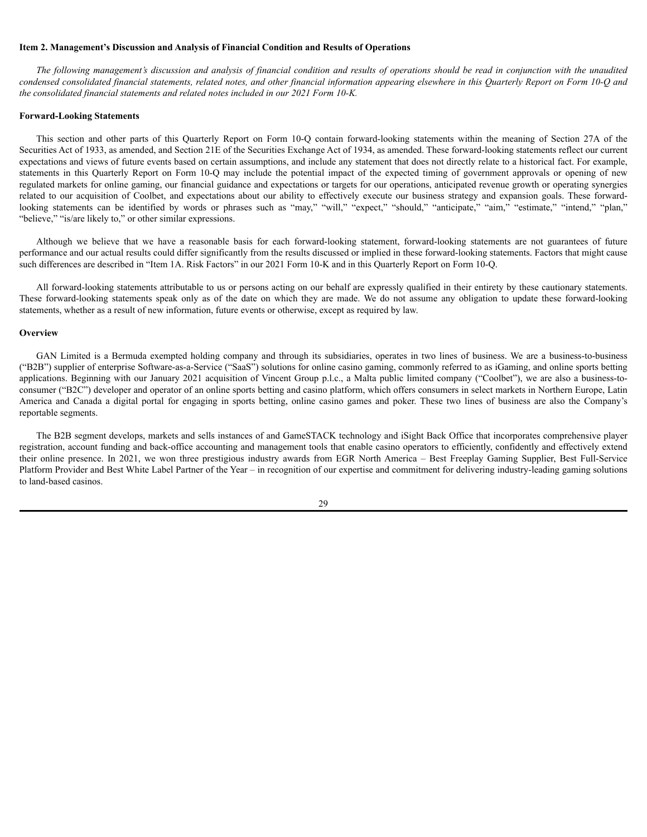### **Item 2. Management's Discussion and Analysis of Financial Condition and Results of Operations**

The following management's discussion and analysis of financial condition and results of operations should be read in conjunction with the unaudited condensed consolidated financial statements, related notes, and other financial information appearing elsewhere in this Quarterly Report on Form 10-Q and *the consolidated financial statements and related notes included in our 2021 Form 10-K.*

#### **Forward-Looking Statements**

This section and other parts of this Quarterly Report on Form 10-Q contain forward-looking statements within the meaning of Section 27A of the Securities Act of 1933, as amended, and Section 21E of the Securities Exchange Act of 1934, as amended. These forward-looking statements reflect our current expectations and views of future events based on certain assumptions, and include any statement that does not directly relate to a historical fact. For example, statements in this Quarterly Report on Form 10-Q may include the potential impact of the expected timing of government approvals or opening of new regulated markets for online gaming, our financial guidance and expectations or targets for our operations, anticipated revenue growth or operating synergies related to our acquisition of Coolbet, and expectations about our ability to effectively execute our business strategy and expansion goals. These forwardlooking statements can be identified by words or phrases such as "may," "will," "expect," "should," "anticipate," "aim," "estimate," "intend," "plan," "believe," "is/are likely to," or other similar expressions.

Although we believe that we have a reasonable basis for each forward-looking statement, forward-looking statements are not guarantees of future performance and our actual results could differ significantly from the results discussed or implied in these forward-looking statements. Factors that might cause such differences are described in "Item 1A. Risk Factors" in our 2021 Form 10-K and in this Quarterly Report on Form 10-Q.

All forward-looking statements attributable to us or persons acting on our behalf are expressly qualified in their entirety by these cautionary statements. These forward-looking statements speak only as of the date on which they are made. We do not assume any obligation to update these forward-looking statements, whether as a result of new information, future events or otherwise, except as required by law.

### **Overview**

GAN Limited is a Bermuda exempted holding company and through its subsidiaries, operates in two lines of business. We are a business-to-business ("B2B") supplier of enterprise Software-as-a-Service ("SaaS") solutions for online casino gaming, commonly referred to as iGaming, and online sports betting applications. Beginning with our January 2021 acquisition of Vincent Group p.l.c., a Malta public limited company ("Coolbet"), we are also a business-toconsumer ("B2C") developer and operator of an online sports betting and casino platform, which offers consumers in select markets in Northern Europe, Latin America and Canada a digital portal for engaging in sports betting, online casino games and poker. These two lines of business are also the Company's reportable segments.

The B2B segment develops, markets and sells instances of and GameSTACK technology and iSight Back Office that incorporates comprehensive player registration, account funding and back-office accounting and management tools that enable casino operators to efficiently, confidently and effectively extend their online presence. In 2021, we won three prestigious industry awards from EGR North America – Best Freeplay Gaming Supplier, Best Full-Service Platform Provider and Best White Label Partner of the Year – in recognition of our expertise and commitment for delivering industry-leading gaming solutions to land-based casinos.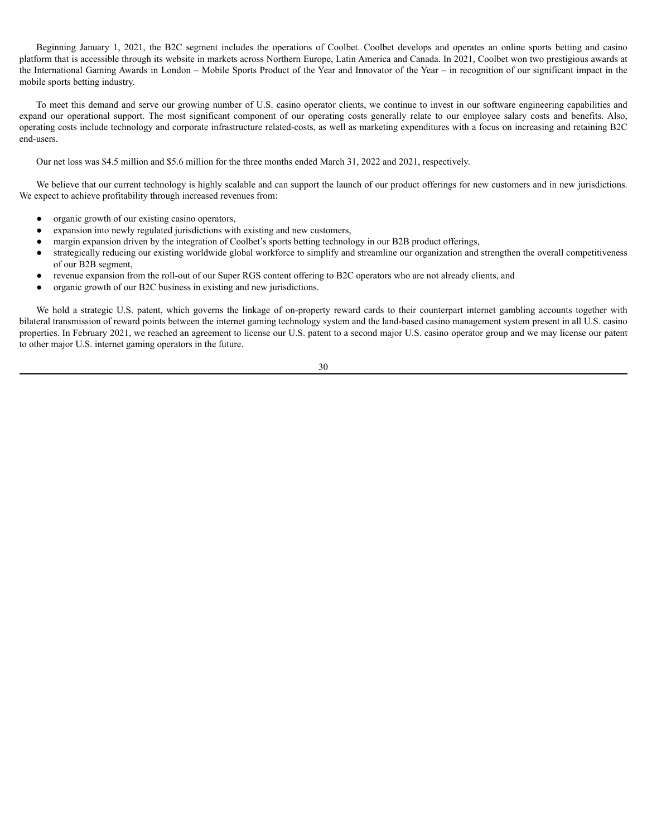Beginning January 1, 2021, the B2C segment includes the operations of Coolbet. Coolbet develops and operates an online sports betting and casino platform that is accessible through its website in markets across Northern Europe, Latin America and Canada. In 2021, Coolbet won two prestigious awards at the International Gaming Awards in London – Mobile Sports Product of the Year and Innovator of the Year – in recognition of our significant impact in the mobile sports betting industry.

To meet this demand and serve our growing number of U.S. casino operator clients, we continue to invest in our software engineering capabilities and expand our operational support. The most significant component of our operating costs generally relate to our employee salary costs and benefits. Also, operating costs include technology and corporate infrastructure related-costs, as well as marketing expenditures with a focus on increasing and retaining B2C end-users.

Our net loss was \$4.5 million and \$5.6 million for the three months ended March 31, 2022 and 2021, respectively.

We believe that our current technology is highly scalable and can support the launch of our product offerings for new customers and in new jurisdictions. We expect to achieve profitability through increased revenues from:

- organic growth of our existing casino operators,
- expansion into newly regulated jurisdictions with existing and new customers,
- margin expansion driven by the integration of Coolbet's sports betting technology in our B2B product offerings,
- strategically reducing our existing worldwide global workforce to simplify and streamline our organization and strengthen the overall competitiveness of our B2B segment,
- revenue expansion from the roll-out of our Super RGS content offering to B2C operators who are not already clients, and
- organic growth of our B2C business in existing and new jurisdictions.

We hold a strategic U.S. patent, which governs the linkage of on-property reward cards to their counterpart internet gambling accounts together with bilateral transmission of reward points between the internet gaming technology system and the land-based casino management system present in all U.S. casino properties. In February 2021, we reached an agreement to license our U.S. patent to a second major U.S. casino operator group and we may license our patent to other major U.S. internet gaming operators in the future.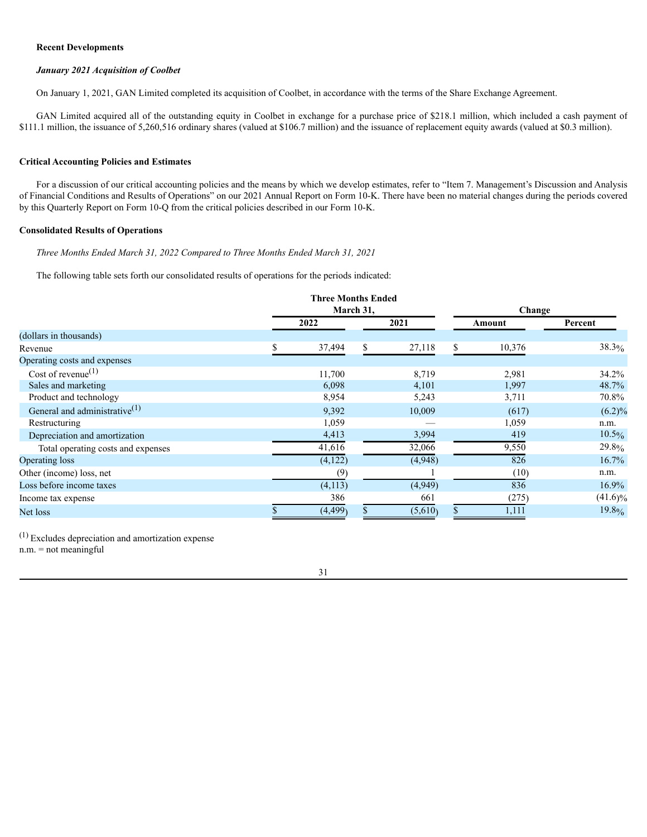# **Recent Developments**

### *January 2021 Acquisition of Coolbet*

On January 1, 2021, GAN Limited completed its acquisition of Coolbet, in accordance with the terms of the Share Exchange Agreement.

GAN Limited acquired all of the outstanding equity in Coolbet in exchange for a purchase price of \$218.1 million, which included a cash payment of \$111.1 million, the issuance of 5,260,516 ordinary shares (valued at \$106.7 million) and the issuance of replacement equity awards (valued at \$0.3 million).

### **Critical Accounting Policies and Estimates**

For a discussion of our critical accounting policies and the means by which we develop estimates, refer to "Item 7. Management's Discussion and Analysis of Financial Conditions and Results of Operations" on our 2021 Annual Report on Form 10-K. There have been no material changes during the periods covered by this Quarterly Report on Form 10-Q from the critical policies described in our Form 10-K.

# **Consolidated Results of Operations**

*Three Months Ended March 31, 2022 Compared to Three Months Ended March 31, 2021*

The following table sets forth our consolidated results of operations for the periods indicated:

|                                    | <b>Three Months Ended</b> |           |    |         |    |        |            |  |
|------------------------------------|---------------------------|-----------|----|---------|----|--------|------------|--|
|                                    |                           | March 31, |    |         |    | Change |            |  |
|                                    |                           | 2022      |    | 2021    |    | Amount | Percent    |  |
| (dollars in thousands)             |                           |           |    |         |    |        |            |  |
| Revenue                            | ъ                         | 37,494    | S. | 27,118  | \$ | 10,376 | 38.3%      |  |
| Operating costs and expenses       |                           |           |    |         |    |        |            |  |
| Cost of revenue <sup>(1)</sup>     |                           | 11,700    |    | 8,719   |    | 2,981  | 34.2%      |  |
| Sales and marketing                |                           | 6,098     |    | 4,101   |    | 1,997  | 48.7%      |  |
| Product and technology             |                           | 8,954     |    | 5,243   |    | 3,711  | 70.8%      |  |
| General and administrative $(1)$   |                           | 9,392     |    | 10,009  |    | (617)  | $(6.2)\%$  |  |
| Restructuring                      |                           | 1,059     |    |         |    | 1,059  | n.m.       |  |
| Depreciation and amortization      |                           | 4,413     |    | 3,994   |    | 419    | $10.5\%$   |  |
| Total operating costs and expenses |                           | 41,616    |    | 32,066  |    | 9,550  | 29.8%      |  |
| <b>Operating loss</b>              |                           | (4,122)   |    | (4,948) |    | 826    | 16.7%      |  |
| Other (income) loss, net           |                           | (9)       |    |         |    | (10)   | n.m.       |  |
| Loss before income taxes           |                           | (4,113)   |    | (4,949) |    | 836    | 16.9%      |  |
| Income tax expense                 |                           | 386       |    | 661     |    | (275)  | $(41.6)\%$ |  |
| Net loss                           |                           | (4, 499)  |    | (5,610) |    | 1,111  | $19.8\%$   |  |

(1) Excludes depreciation and amortization expense

n.m. = not meaningful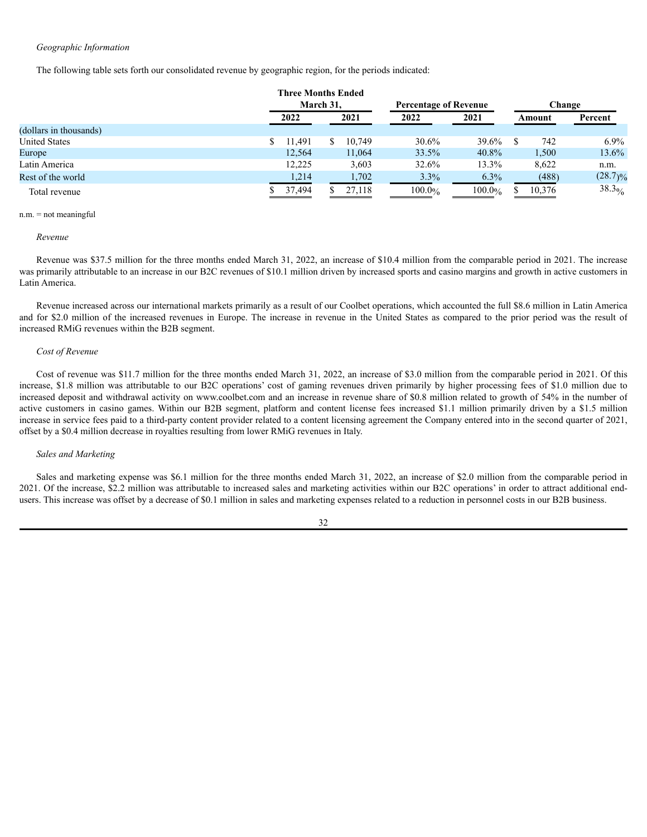# *Geographic Information*

The following table sets forth our consolidated revenue by geographic region, for the periods indicated:

|                        | <b>Three Months Ended</b> |  |        |                              |           |        |        |                   |
|------------------------|---------------------------|--|--------|------------------------------|-----------|--------|--------|-------------------|
|                        | March 31.                 |  |        | <b>Percentage of Revenue</b> |           | Change |        |                   |
|                        | 2022                      |  | 2021   | 2022                         | 2021      | Amount |        | Percent           |
| (dollars in thousands) |                           |  |        |                              |           |        |        |                   |
| <b>United States</b>   | 11,491                    |  | 10.749 | $30.6\%$                     | 39.6%     |        | 742    | $6.9\%$           |
| Europe                 | 12.564                    |  | 11.064 | 33.5%                        | 40.8%     |        | 1,500  | 13.6%             |
| Latin America          | 12.225                    |  | 3,603  | 32.6%                        | 13.3%     |        | 8,622  | n.m.              |
| Rest of the world      | 1,214                     |  | 1,702  | 3.3%                         | $6.3\%$   |        | (488)  | $(28.7)\%$        |
| Total revenue          | 37,494                    |  | 27,118 | $100.0\%$                    | $100.0\%$ |        | 10,376 | $38.3\frac{6}{6}$ |

n.m. = not meaningful

#### *Revenue*

Revenue was \$37.5 million for the three months ended March 31, 2022, an increase of \$10.4 million from the comparable period in 2021. The increase was primarily attributable to an increase in our B2C revenues of \$10.1 million driven by increased sports and casino margins and growth in active customers in Latin America.

Revenue increased across our international markets primarily as a result of our Coolbet operations, which accounted the full \$8.6 million in Latin America and for \$2.0 million of the increased revenues in Europe. The increase in revenue in the United States as compared to the prior period was the result of increased RMiG revenues within the B2B segment.

#### *Cost of Revenue*

Cost of revenue was \$11.7 million for the three months ended March 31, 2022, an increase of \$3.0 million from the comparable period in 2021. Of this increase, \$1.8 million was attributable to our B2C operations' cost of gaming revenues driven primarily by higher processing fees of \$1.0 million due to increased deposit and withdrawal activity on www.coolbet.com and an increase in revenue share of \$0.8 million related to growth of 54% in the number of active customers in casino games. Within our B2B segment, platform and content license fees increased \$1.1 million primarily driven by a \$1.5 million increase in service fees paid to a third-party content provider related to a content licensing agreement the Company entered into in the second quarter of 2021, offset by a \$0.4 million decrease in royalties resulting from lower RMiG revenues in Italy.

### *Sales and Marketing*

Sales and marketing expense was \$6.1 million for the three months ended March 31, 2022, an increase of \$2.0 million from the comparable period in 2021. Of the increase, \$2.2 million was attributable to increased sales and marketing activities within our B2C operations' in order to attract additional endusers. This increase was offset by a decrease of \$0.1 million in sales and marketing expenses related to a reduction in personnel costs in our B2B business.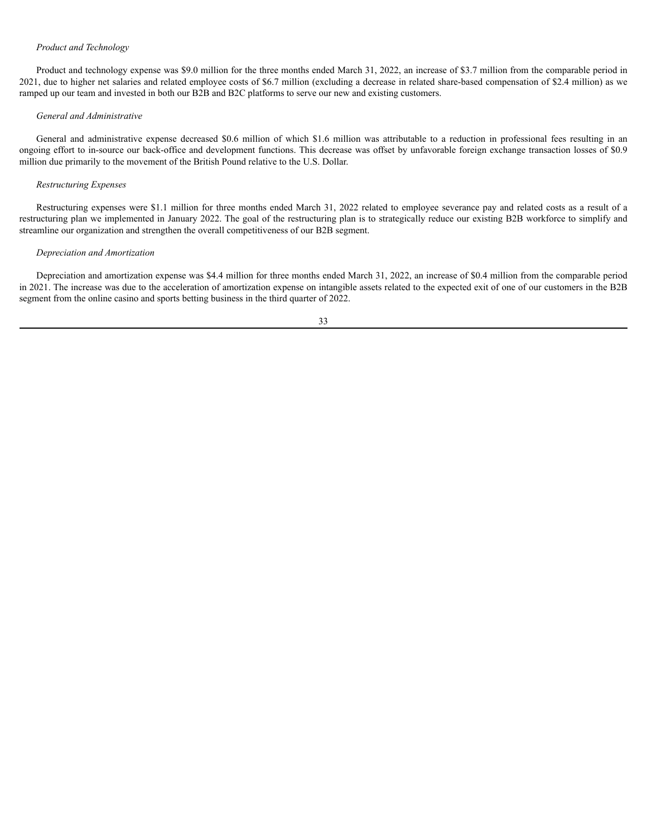### *Product and Technology*

Product and technology expense was \$9.0 million for the three months ended March 31, 2022, an increase of \$3.7 million from the comparable period in 2021, due to higher net salaries and related employee costs of \$6.7 million (excluding a decrease in related share-based compensation of \$2.4 million) as we ramped up our team and invested in both our B2B and B2C platforms to serve our new and existing customers.

### *General and Administrative*

General and administrative expense decreased \$0.6 million of which \$1.6 million was attributable to a reduction in professional fees resulting in an ongoing effort to in-source our back-office and development functions. This decrease was offset by unfavorable foreign exchange transaction losses of \$0.9 million due primarily to the movement of the British Pound relative to the U.S. Dollar.

### *Restructuring Expenses*

Restructuring expenses were \$1.1 million for three months ended March 31, 2022 related to employee severance pay and related costs as a result of a restructuring plan we implemented in January 2022. The goal of the restructuring plan is to strategically reduce our existing B2B workforce to simplify and streamline our organization and strengthen the overall competitiveness of our B2B segment.

#### *Depreciation and Amortization*

Depreciation and amortization expense was \$4.4 million for three months ended March 31, 2022, an increase of \$0.4 million from the comparable period in 2021. The increase was due to the acceleration of amortization expense on intangible assets related to the expected exit of one of our customers in the B2B segment from the online casino and sports betting business in the third quarter of 2022.

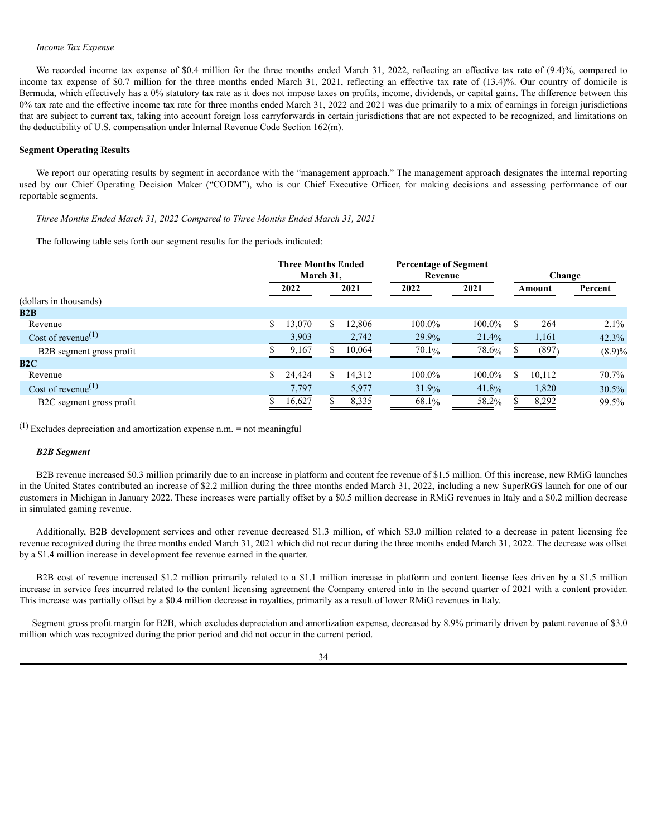### *Income Tax Expense*

We recorded income tax expense of \$0.4 million for the three months ended March 31, 2022, reflecting an effective tax rate of (9.4)%, compared to income tax expense of \$0.7 million for the three months ended March 31, 2021, reflecting an effective tax rate of (13.4)%. Our country of domicile is Bermuda, which effectively has a 0% statutory tax rate as it does not impose taxes on profits, income, dividends, or capital gains. The difference between this 0% tax rate and the effective income tax rate for three months ended March 31, 2022 and 2021 was due primarily to a mix of earnings in foreign jurisdictions that are subject to current tax, taking into account foreign loss carryforwards in certain jurisdictions that are not expected to be recognized, and limitations on the deductibility of U.S. compensation under Internal Revenue Code Section 162(m).

### **Segment Operating Results**

We report our operating results by segment in accordance with the "management approach." The management approach designates the internal reporting used by our Chief Operating Decision Maker ("CODM"), who is our Chief Executive Officer, for making decisions and assessing performance of our reportable segments.

*Three Months Ended March 31, 2022 Compared to Three Months Ended March 31, 2021*

The following table sets forth our segment results for the periods indicated:

|                                       | <b>Three Months Ended</b><br>March 31, |    |        | <b>Percentage of Segment</b><br>Revenue |        | Change |        |           |  |
|---------------------------------------|----------------------------------------|----|--------|-----------------------------------------|--------|--------|--------|-----------|--|
|                                       | 2022                                   |    | 2021   | 2022                                    | 2021   |        | Amount | Percent   |  |
| (dollars in thousands)                |                                        |    |        |                                         |        |        |        |           |  |
| B2B                                   |                                        |    |        |                                         |        |        |        |           |  |
| Revenue                               | 13,070                                 | S  | 12,806 | 100.0%                                  | 100.0% |        | 264    | 2.1%      |  |
| Cost of revenue <sup>(1)</sup>        | 3,903                                  |    | 2,742  | 29.9%                                   | 21.4%  |        | 1,161  | 42.3%     |  |
| B <sub>2</sub> B segment gross profit | 9,167                                  |    | 10,064 | 70.1%                                   | 78.6%  |        | (897)  | $(8.9)\%$ |  |
| B2C                                   |                                        |    |        |                                         |        |        |        |           |  |
| Revenue                               | 24,424                                 | \$ | 14,312 | 100.0%                                  | 100.0% | S.     | 10,112 | 70.7%     |  |
| Cost of revenue <sup>(1)</sup>        | 7,797                                  |    | 5,977  | 31.9%                                   | 41.8%  |        | 1,820  | 30.5%     |  |
| B <sub>2</sub> C segment gross profit | 16,627                                 |    | 8,335  | 68.1%                                   | 58.2%  |        | 8,292  | 99.5%     |  |

 $(1)$  Excludes depreciation and amortization expense n.m. = not meaningful

### *B2B Segment*

B2B revenue increased \$0.3 million primarily due to an increase in platform and content fee revenue of \$1.5 million. Of this increase, new RMiG launches in the United States contributed an increase of \$2.2 million during the three months ended March 31, 2022, including a new SuperRGS launch for one of our customers in Michigan in January 2022. These increases were partially offset by a \$0.5 million decrease in RMiG revenues in Italy and a \$0.2 million decrease in simulated gaming revenue.

Additionally, B2B development services and other revenue decreased \$1.3 million, of which \$3.0 million related to a decrease in patent licensing fee revenue recognized during the three months ended March 31, 2021 which did not recur during the three months ended March 31, 2022. The decrease was offset by a \$1.4 million increase in development fee revenue earned in the quarter.

B2B cost of revenue increased \$1.2 million primarily related to a \$1.1 million increase in platform and content license fees driven by a \$1.5 million increase in service fees incurred related to the content licensing agreement the Company entered into in the second quarter of 2021 with a content provider. This increase was partially offset by a \$0.4 million decrease in royalties, primarily as a result of lower RMiG revenues in Italy.

Segment gross profit margin for B2B, which excludes depreciation and amortization expense, decreased by 8.9% primarily driven by patent revenue of \$3.0 million which was recognized during the prior period and did not occur in the current period.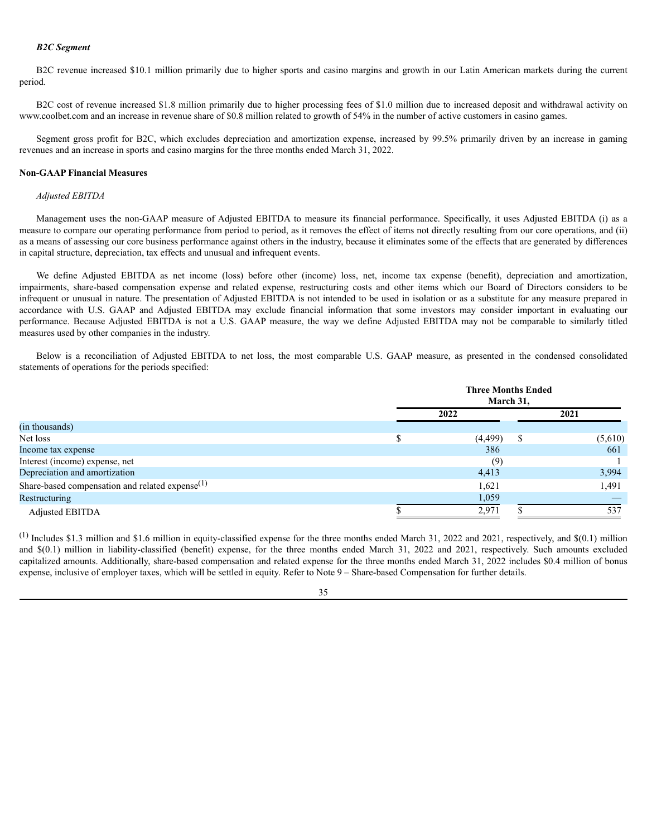# *B2C Segment*

B2C revenue increased \$10.1 million primarily due to higher sports and casino margins and growth in our Latin American markets during the current period.

B2C cost of revenue increased \$1.8 million primarily due to higher processing fees of \$1.0 million due to increased deposit and withdrawal activity on www.coolbet.com and an increase in revenue share of \$0.8 million related to growth of 54% in the number of active customers in casino games.

Segment gross profit for B2C, which excludes depreciation and amortization expense, increased by 99.5% primarily driven by an increase in gaming revenues and an increase in sports and casino margins for the three months ended March 31, 2022.

### **Non-GAAP Financial Measures**

### *Adjusted EBITDA*

Management uses the non-GAAP measure of Adjusted EBITDA to measure its financial performance. Specifically, it uses Adjusted EBITDA (i) as a measure to compare our operating performance from period to period, as it removes the effect of items not directly resulting from our core operations, and (ii) as a means of assessing our core business performance against others in the industry, because it eliminates some of the effects that are generated by differences in capital structure, depreciation, tax effects and unusual and infrequent events.

We define Adjusted EBITDA as net income (loss) before other (income) loss, net, income tax expense (benefit), depreciation and amortization, impairments, share-based compensation expense and related expense, restructuring costs and other items which our Board of Directors considers to be infrequent or unusual in nature. The presentation of Adjusted EBITDA is not intended to be used in isolation or as a substitute for any measure prepared in accordance with U.S. GAAP and Adjusted EBITDA may exclude financial information that some investors may consider important in evaluating our performance. Because Adjusted EBITDA is not a U.S. GAAP measure, the way we define Adjusted EBITDA may not be comparable to similarly titled measures used by other companies in the industry.

Below is a reconciliation of Adjusted EBITDA to net loss, the most comparable U.S. GAAP measure, as presented in the condensed consolidated statements of operations for the periods specified:

|                                                    | <b>Three Months Ended</b><br>March 31, |    |         |  |  |  |
|----------------------------------------------------|----------------------------------------|----|---------|--|--|--|
|                                                    | 2022                                   |    | 2021    |  |  |  |
| (in thousands)                                     |                                        |    |         |  |  |  |
| Net loss                                           | (4, 499)                               | -S | (5,610) |  |  |  |
| Income tax expense                                 | 386                                    |    | 661     |  |  |  |
| Interest (income) expense, net                     | (9)                                    |    |         |  |  |  |
| Depreciation and amortization                      | 4,413                                  |    | 3,994   |  |  |  |
| Share-based compensation and related expense $(1)$ | 1,621                                  |    | 1,491   |  |  |  |
| Restructuring                                      | 1,059                                  |    |         |  |  |  |
| <b>Adjusted EBITDA</b>                             | 2,971                                  |    | 537     |  |  |  |

 $^{(1)}$  Includes \$1.3 million and \$1.6 million in equity-classified expense for the three months ended March 31, 2022 and 2021, respectively, and  $$(0.1)$  million and \$(0.1) million in liability-classified (benefit) expense, for the three months ended March 31, 2022 and 2021, respectively. Such amounts excluded capitalized amounts. Additionally, share-based compensation and related expense for the three months ended March 31, 2022 includes \$0.4 million of bonus expense, inclusive of employer taxes, which will be settled in equity. Refer to Note 9 – Share-based Compensation for further details.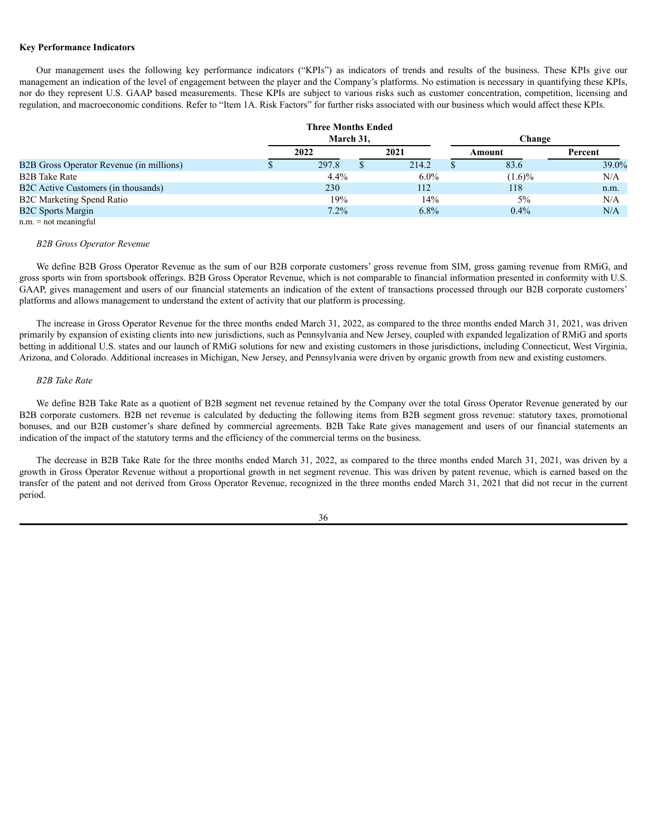#### **Key Performance Indicators**

Our management uses the following key performance indicators ("KPIs") as indicators of trends and results of the business. These KPIs give our management an indication of the level of engagement between the player and the Company's platforms. No estimation is necessary in quantifying these KPIs, nor do they represent U.S. GAAP based measurements. These KPIs are subject to various risks such as customer concentration, competition, licensing and regulation, and macroeconomic conditions. Refer to "Item 1A. Risk Factors" for further risks associated with our business which would affect these KPIs.

|                                          | <b>Three Months Ended</b><br>March 31, |         | Change    |         |
|------------------------------------------|----------------------------------------|---------|-----------|---------|
|                                          | 2022                                   | 2021    | Amount    | Percent |
| B2B Gross Operator Revenue (in millions) | 297.8                                  | 214.2   | 83.6      | 39.0%   |
| <b>B2B</b> Take Rate                     | 4.4%                                   | $6.0\%$ | $(1.6)\%$ | N/A     |
| B2C Active Customers (in thousands)      | 230                                    | 112     | 118       | n.m.    |
| B <sub>2</sub> C Marketing Spend Ratio   | 19%                                    | 14%     | $5\%$     | N/A     |
| <b>B2C Sports Margin</b>                 | 7.2%                                   | 6.8%    | $0.4\%$   | N/A     |

n.m. = not meaningful

#### *B2B Gross Operator Revenue*

We define B2B Gross Operator Revenue as the sum of our B2B corporate customers' gross revenue from SIM, gross gaming revenue from RMiG, and gross sports win from sportsbook offerings. B2B Gross Operator Revenue, which is not comparable to financial information presented in conformity with U.S. GAAP, gives management and users of our financial statements an indication of the extent of transactions processed through our B2B corporate customers' platforms and allows management to understand the extent of activity that our platform is processing.

The increase in Gross Operator Revenue for the three months ended March 31, 2022, as compared to the three months ended March 31, 2021, was driven primarily by expansion of existing clients into new jurisdictions, such as Pennsylvania and New Jersey, coupled with expanded legalization of RMiG and sports betting in additional U.S. states and our launch of RMiG solutions for new and existing customers in those jurisdictions, including Connecticut, West Virginia, Arizona, and Colorado. Additional increases in Michigan, New Jersey, and Pennsylvania were driven by organic growth from new and existing customers.

#### *B2B Take Rate*

We define B2B Take Rate as a quotient of B2B segment net revenue retained by the Company over the total Gross Operator Revenue generated by our B2B corporate customers. B2B net revenue is calculated by deducting the following items from B2B segment gross revenue: statutory taxes, promotional bonuses, and our B2B customer's share defined by commercial agreements. B2B Take Rate gives management and users of our financial statements an indication of the impact of the statutory terms and the efficiency of the commercial terms on the business.

The decrease in B2B Take Rate for the three months ended March 31, 2022, as compared to the three months ended March 31, 2021, was driven by a growth in Gross Operator Revenue without a proportional growth in net segment revenue. This was driven by patent revenue, which is earned based on the transfer of the patent and not derived from Gross Operator Revenue, recognized in the three months ended March 31, 2021 that did not recur in the current period.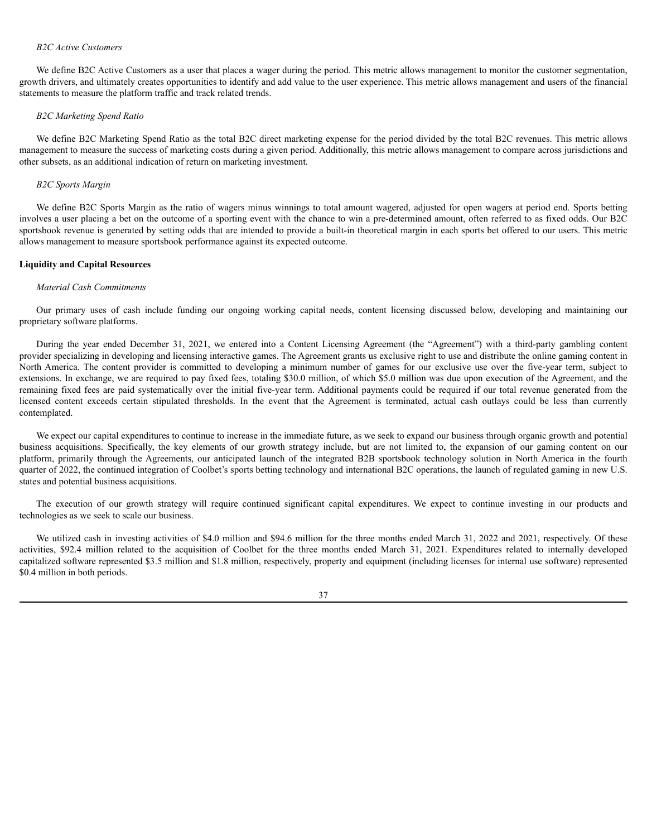#### *B2C Active Customers*

We define B2C Active Customers as a user that places a wager during the period. This metric allows management to monitor the customer segmentation, growth drivers, and ultimately creates opportunities to identify and add value to the user experience. This metric allows management and users of the financial statements to measure the platform traffic and track related trends.

#### *B2C Marketing Spend Ratio*

We define B2C Marketing Spend Ratio as the total B2C direct marketing expense for the period divided by the total B2C revenues. This metric allows management to measure the success of marketing costs during a given period. Additionally, this metric allows management to compare across jurisdictions and other subsets, as an additional indication of return on marketing investment.

### *B2C Sports Margin*

We define B2C Sports Margin as the ratio of wagers minus winnings to total amount wagered, adjusted for open wagers at period end. Sports betting involves a user placing a bet on the outcome of a sporting event with the chance to win a pre-determined amount, often referred to as fixed odds. Our B2C sportsbook revenue is generated by setting odds that are intended to provide a built-in theoretical margin in each sports bet offered to our users. This metric allows management to measure sportsbook performance against its expected outcome.

#### **Liquidity and Capital Resources**

#### *Material Cash Commitments*

Our primary uses of cash include funding our ongoing working capital needs, content licensing discussed below, developing and maintaining our proprietary software platforms.

During the year ended December 31, 2021, we entered into a Content Licensing Agreement (the "Agreement") with a third-party gambling content provider specializing in developing and licensing interactive games. The Agreement grants us exclusive right to use and distribute the online gaming content in North America. The content provider is committed to developing a minimum number of games for our exclusive use over the five-year term, subject to extensions. In exchange, we are required to pay fixed fees, totaling \$30.0 million, of which \$5.0 million was due upon execution of the Agreement, and the remaining fixed fees are paid systematically over the initial five-year term. Additional payments could be required if our total revenue generated from the licensed content exceeds certain stipulated thresholds. In the event that the Agreement is terminated, actual cash outlays could be less than currently contemplated.

We expect our capital expenditures to continue to increase in the immediate future, as we seek to expand our business through organic growth and potential business acquisitions. Specifically, the key elements of our growth strategy include, but are not limited to, the expansion of our gaming content on our platform, primarily through the Agreements, our anticipated launch of the integrated B2B sportsbook technology solution in North America in the fourth quarter of 2022, the continued integration of Coolbet's sports betting technology and international B2C operations, the launch of regulated gaming in new U.S. states and potential business acquisitions.

The execution of our growth strategy will require continued significant capital expenditures. We expect to continue investing in our products and technologies as we seek to scale our business.

We utilized cash in investing activities of \$4.0 million and \$94.6 million for the three months ended March 31, 2022 and 2021, respectively. Of these activities, \$92.4 million related to the acquisition of Coolbet for the three months ended March 31, 2021. Expenditures related to internally developed capitalized software represented \$3.5 million and \$1.8 million, respectively, property and equipment (including licenses for internal use software) represented \$0.4 million in both periods.

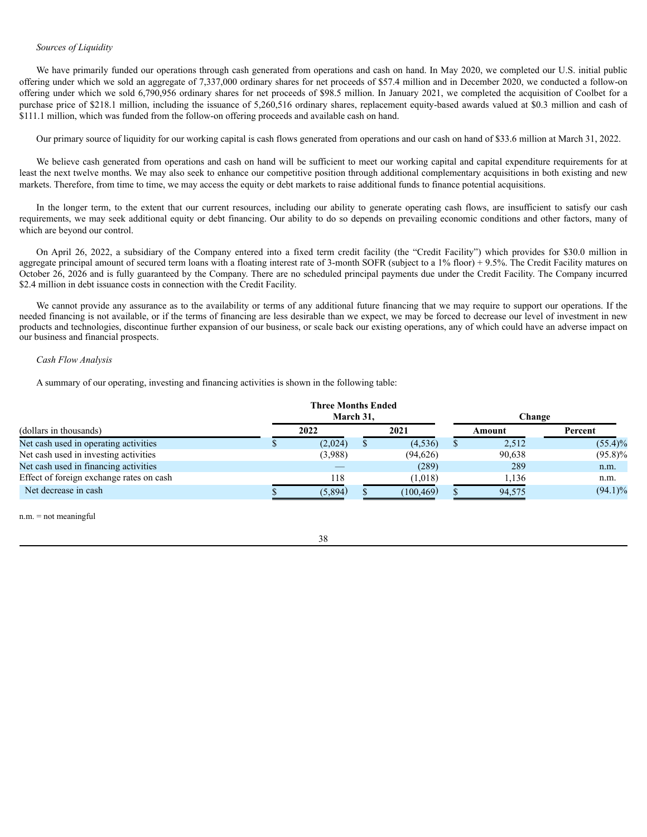# *Sources of Liquidity*

We have primarily funded our operations through cash generated from operations and cash on hand. In May 2020, we completed our U.S. initial public offering under which we sold an aggregate of 7,337,000 ordinary shares for net proceeds of \$57.4 million and in December 2020, we conducted a follow-on offering under which we sold 6,790,956 ordinary shares for net proceeds of \$98.5 million. In January 2021, we completed the acquisition of Coolbet for a purchase price of \$218.1 million, including the issuance of 5,260,516 ordinary shares, replacement equity-based awards valued at \$0.3 million and cash of \$111.1 million, which was funded from the follow-on offering proceeds and available cash on hand.

Our primary source of liquidity for our working capital is cash flows generated from operations and our cash on hand of \$33.6 million at March 31, 2022.

We believe cash generated from operations and cash on hand will be sufficient to meet our working capital and capital expenditure requirements for at least the next twelve months. We may also seek to enhance our competitive position through additional complementary acquisitions in both existing and new markets. Therefore, from time to time, we may access the equity or debt markets to raise additional funds to finance potential acquisitions.

In the longer term, to the extent that our current resources, including our ability to generate operating cash flows, are insufficient to satisfy our cash requirements, we may seek additional equity or debt financing. Our ability to do so depends on prevailing economic conditions and other factors, many of which are beyond our control.

On April 26, 2022, a subsidiary of the Company entered into a fixed term credit facility (the "Credit Facility") which provides for \$30.0 million in aggregate principal amount of secured term loans with a floating interest rate of 3-month SOFR (subject to a  $1\%$  floor) + 9.5%. The Credit Facility matures on October 26, 2026 and is fully guaranteed by the Company. There are no scheduled principal payments due under the Credit Facility. The Company incurred \$2.4 million in debt issuance costs in connection with the Credit Facility.

We cannot provide any assurance as to the availability or terms of any additional future financing that we may require to support our operations. If the needed financing is not available, or if the terms of financing are less desirable than we expect, we may be forced to decrease our level of investment in new products and technologies, discontinue further expansion of our business, or scale back our existing operations, any of which could have an adverse impact on our business and financial prospects.

#### *Cash Flow Analysis*

A summary of our operating, investing and financing activities is shown in the following table:

|                                          |      | <b>Three Months Ended</b> |      |           |        |        |            |  |  |
|------------------------------------------|------|---------------------------|------|-----------|--------|--------|------------|--|--|
|                                          |      | March 31,                 |      |           |        |        | Change     |  |  |
| (dollars in thousands)                   | 2022 |                           | 2021 |           | Amount |        | Percent    |  |  |
| Net cash used in operating activities    |      | (2,024)                   |      | (4,536)   |        | 2,512  | $(55.4)\%$ |  |  |
| Net cash used in investing activities    |      | (3.988)                   |      | (94,626)  |        | 90,638 | $(95.8)\%$ |  |  |
| Net cash used in financing activities    |      |                           |      | (289)     |        | 289    | n.m.       |  |  |
| Effect of foreign exchange rates on cash |      | 118                       |      | (1,018)   |        | 1,136  | n.m.       |  |  |
| Net decrease in cash                     |      | (5,894)                   |      | (100.469) |        | 94.575 | $(94.1)\%$ |  |  |

 $n.m.$  = not meaningful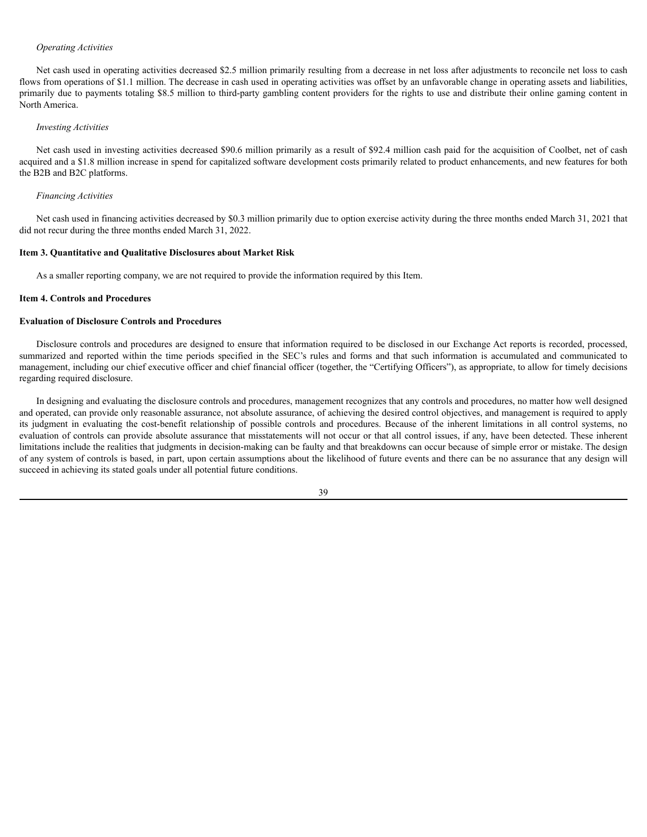#### *Operating Activities*

Net cash used in operating activities decreased \$2.5 million primarily resulting from a decrease in net loss after adjustments to reconcile net loss to cash flows from operations of \$1.1 million. The decrease in cash used in operating activities was offset by an unfavorable change in operating assets and liabilities, primarily due to payments totaling \$8.5 million to third-party gambling content providers for the rights to use and distribute their online gaming content in North America.

#### *Investing Activities*

Net cash used in investing activities decreased \$90.6 million primarily as a result of \$92.4 million cash paid for the acquisition of Coolbet, net of cash acquired and a \$1.8 million increase in spend for capitalized software development costs primarily related to product enhancements, and new features for both the B2B and B2C platforms.

#### *Financing Activities*

Net cash used in financing activities decreased by \$0.3 million primarily due to option exercise activity during the three months ended March 31, 2021 that did not recur during the three months ended March 31, 2022.

#### <span id="page-39-0"></span>**Item 3. Quantitative and Qualitative Disclosures about Market Risk**

As a smaller reporting company, we are not required to provide the information required by this Item.

#### **Item 4. Controls and Procedures**

### **Evaluation of Disclosure Controls and Procedures**

Disclosure controls and procedures are designed to ensure that information required to be disclosed in our Exchange Act reports is recorded, processed, summarized and reported within the time periods specified in the SEC's rules and forms and that such information is accumulated and communicated to management, including our chief executive officer and chief financial officer (together, the "Certifying Officers"), as appropriate, to allow for timely decisions regarding required disclosure.

In designing and evaluating the disclosure controls and procedures, management recognizes that any controls and procedures, no matter how well designed and operated, can provide only reasonable assurance, not absolute assurance, of achieving the desired control objectives, and management is required to apply its judgment in evaluating the cost-benefit relationship of possible controls and procedures. Because of the inherent limitations in all control systems, no evaluation of controls can provide absolute assurance that misstatements will not occur or that all control issues, if any, have been detected. These inherent limitations include the realities that judgments in decision-making can be faulty and that breakdowns can occur because of simple error or mistake. The design of any system of controls is based, in part, upon certain assumptions about the likelihood of future events and there can be no assurance that any design will succeed in achieving its stated goals under all potential future conditions.

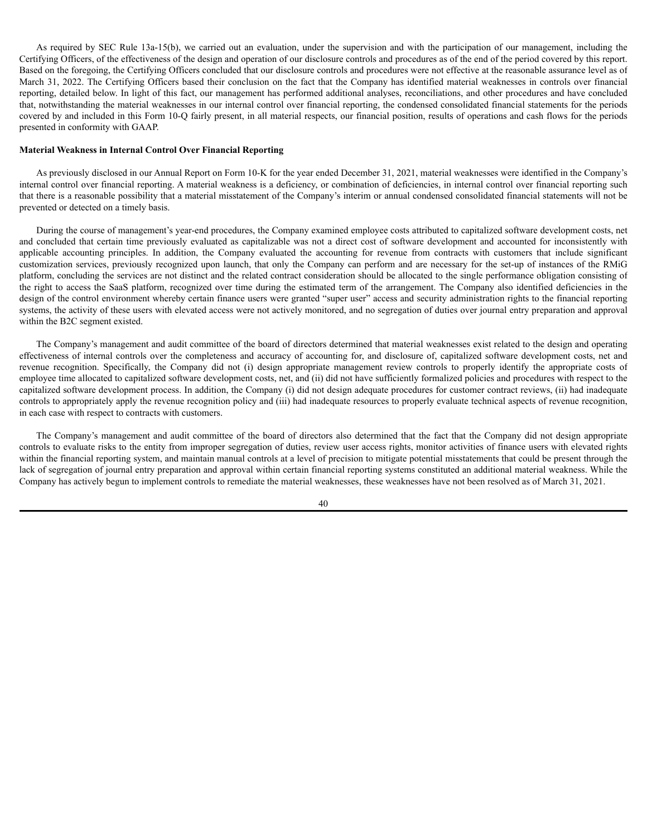As required by SEC Rule 13a-15(b), we carried out an evaluation, under the supervision and with the participation of our management, including the Certifying Officers, of the effectiveness of the design and operation of our disclosure controls and procedures as of the end of the period covered by this report. Based on the foregoing, the Certifying Officers concluded that our disclosure controls and procedures were not effective at the reasonable assurance level as of March 31, 2022. The Certifying Officers based their conclusion on the fact that the Company has identified material weaknesses in controls over financial reporting, detailed below. In light of this fact, our management has performed additional analyses, reconciliations, and other procedures and have concluded that, notwithstanding the material weaknesses in our internal control over financial reporting, the condensed consolidated financial statements for the periods covered by and included in this Form 10-Q fairly present, in all material respects, our financial position, results of operations and cash flows for the periods presented in conformity with GAAP.

### **Material Weakness in Internal Control Over Financial Reporting**

As previously disclosed in our Annual Report on Form 10-K for the year ended December 31, 2021, material weaknesses were identified in the Company's internal control over financial reporting. A material weakness is a deficiency, or combination of deficiencies, in internal control over financial reporting such that there is a reasonable possibility that a material misstatement of the Company's interim or annual condensed consolidated financial statements will not be prevented or detected on a timely basis.

During the course of management's year-end procedures, the Company examined employee costs attributed to capitalized software development costs, net and concluded that certain time previously evaluated as capitalizable was not a direct cost of software development and accounted for inconsistently with applicable accounting principles. In addition, the Company evaluated the accounting for revenue from contracts with customers that include significant customization services, previously recognized upon launch, that only the Company can perform and are necessary for the set-up of instances of the RMiG platform, concluding the services are not distinct and the related contract consideration should be allocated to the single performance obligation consisting of the right to access the SaaS platform, recognized over time during the estimated term of the arrangement. The Company also identified deficiencies in the design of the control environment whereby certain finance users were granted "super user" access and security administration rights to the financial reporting systems, the activity of these users with elevated access were not actively monitored, and no segregation of duties over journal entry preparation and approval within the B2C segment existed.

The Company's management and audit committee of the board of directors determined that material weaknesses exist related to the design and operating effectiveness of internal controls over the completeness and accuracy of accounting for, and disclosure of, capitalized software development costs, net and revenue recognition. Specifically, the Company did not (i) design appropriate management review controls to properly identify the appropriate costs of employee time allocated to capitalized software development costs, net, and (ii) did not have sufficiently formalized policies and procedures with respect to the capitalized software development process. In addition, the Company (i) did not design adequate procedures for customer contract reviews, (ii) had inadequate controls to appropriately apply the revenue recognition policy and (iii) had inadequate resources to properly evaluate technical aspects of revenue recognition, in each case with respect to contracts with customers.

The Company's management and audit committee of the board of directors also determined that the fact that the Company did not design appropriate controls to evaluate risks to the entity from improper segregation of duties, review user access rights, monitor activities of finance users with elevated rights within the financial reporting system, and maintain manual controls at a level of precision to mitigate potential misstatements that could be present through the lack of segregation of journal entry preparation and approval within certain financial reporting systems constituted an additional material weakness. While the Company has actively begun to implement controls to remediate the material weaknesses, these weaknesses have not been resolved as of March 31, 2021.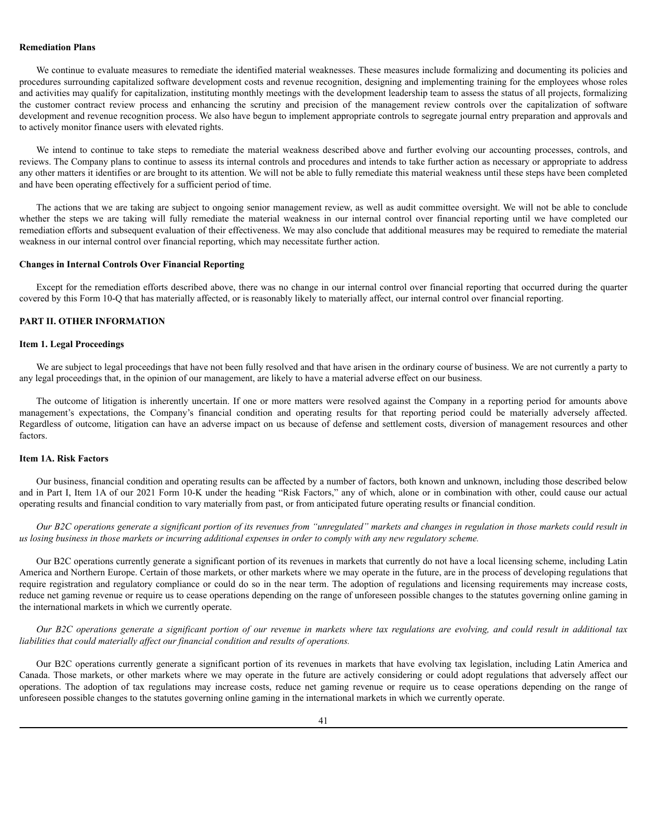#### **Remediation Plans**

We continue to evaluate measures to remediate the identified material weaknesses. These measures include formalizing and documenting its policies and procedures surrounding capitalized software development costs and revenue recognition, designing and implementing training for the employees whose roles and activities may qualify for capitalization, instituting monthly meetings with the development leadership team to assess the status of all projects, formalizing the customer contract review process and enhancing the scrutiny and precision of the management review controls over the capitalization of software development and revenue recognition process. We also have begun to implement appropriate controls to segregate journal entry preparation and approvals and to actively monitor finance users with elevated rights.

We intend to continue to take steps to remediate the material weakness described above and further evolving our accounting processes, controls, and reviews. The Company plans to continue to assess its internal controls and procedures and intends to take further action as necessary or appropriate to address any other matters it identifies or are brought to its attention. We will not be able to fully remediate this material weakness until these steps have been completed and have been operating effectively for a sufficient period of time.

The actions that we are taking are subject to ongoing senior management review, as well as audit committee oversight. We will not be able to conclude whether the steps we are taking will fully remediate the material weakness in our internal control over financial reporting until we have completed our remediation efforts and subsequent evaluation of their effectiveness. We may also conclude that additional measures may be required to remediate the material weakness in our internal control over financial reporting, which may necessitate further action.

#### **Changes in Internal Controls Over Financial Reporting**

Except for the remediation efforts described above, there was no change in our internal control over financial reporting that occurred during the quarter covered by this Form 10-Q that has materially affected, or is reasonably likely to materially affect, our internal control over financial reporting.

### **PART II. OTHER INFORMATION**

# <span id="page-41-0"></span>**Item 1. Legal Proceedings**

We are subject to legal proceedings that have not been fully resolved and that have arisen in the ordinary course of business. We are not currently a party to any legal proceedings that, in the opinion of our management, are likely to have a material adverse effect on our business.

The outcome of litigation is inherently uncertain. If one or more matters were resolved against the Company in a reporting period for amounts above management's expectations, the Company's financial condition and operating results for that reporting period could be materially adversely affected. Regardless of outcome, litigation can have an adverse impact on us because of defense and settlement costs, diversion of management resources and other factors.

### **Item 1A. Risk Factors**

Our business, financial condition and operating results can be affected by a number of factors, both known and unknown, including those described below and in Part I, Item 1A of our 2021 Form 10-K under the heading "Risk Factors," any of which, alone or in combination with other, could cause our actual operating results and financial condition to vary materially from past, or from anticipated future operating results or financial condition.

Our B2C operations generate a significant portion of its revenues from "unregulated" markets and changes in regulation in those markets could result in us losing business in those markets or incurring additional expenses in order to comply with any new regulatory scheme.

Our B2C operations currently generate a significant portion of its revenues in markets that currently do not have a local licensing scheme, including Latin America and Northern Europe. Certain of those markets, or other markets where we may operate in the future, are in the process of developing regulations that require registration and regulatory compliance or could do so in the near term. The adoption of regulations and licensing requirements may increase costs, reduce net gaming revenue or require us to cease operations depending on the range of unforeseen possible changes to the statutes governing online gaming in the international markets in which we currently operate.

Our B2C operations generate a significant portion of our revenue in markets where tax regulations are evolving, and could result in additional tax *liabilities that could materially af ect our financial condition and results of operations.*

Our B2C operations currently generate a significant portion of its revenues in markets that have evolving tax legislation, including Latin America and Canada. Those markets, or other markets where we may operate in the future are actively considering or could adopt regulations that adversely affect our operations. The adoption of tax regulations may increase costs, reduce net gaming revenue or require us to cease operations depending on the range of unforeseen possible changes to the statutes governing online gaming in the international markets in which we currently operate.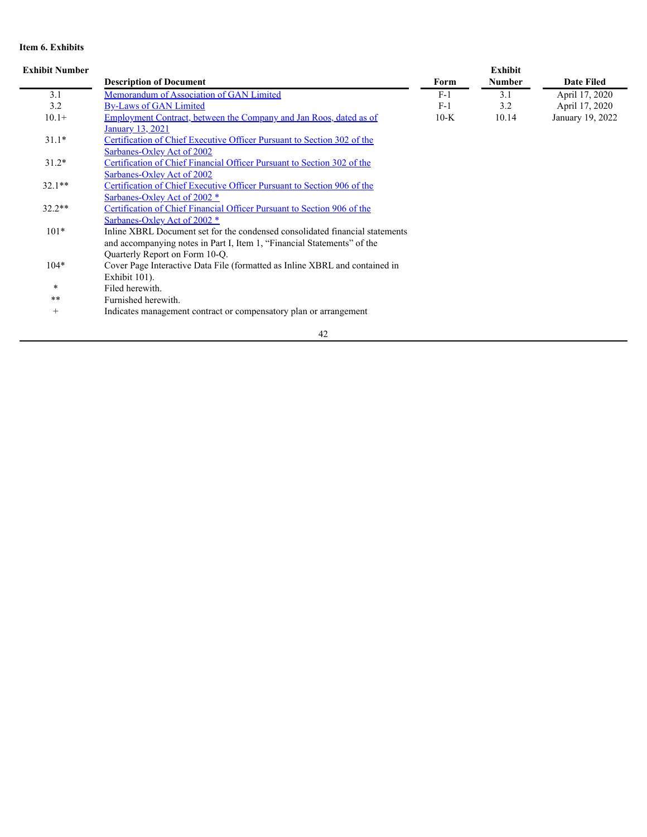# **Item 6. Exhibits**

| <b>Exhibit Number</b> |                                                                              |        | Exhibit       |                   |
|-----------------------|------------------------------------------------------------------------------|--------|---------------|-------------------|
|                       | <b>Description of Document</b>                                               | Form   | <b>Number</b> | <b>Date Filed</b> |
| 3.1                   | Memorandum of Association of GAN Limited                                     | $F-1$  | 3.1           | April 17, 2020    |
| 3.2                   | <b>By-Laws of GAN Limited</b>                                                | $F-1$  | 3.2           | April 17, 2020    |
| $10.1+$               | Employment Contract, between the Company and Jan Roos, dated as of           | $10-K$ | 10.14         | January 19, 2022  |
|                       | <b>January 13, 2021</b>                                                      |        |               |                   |
| $31.1*$               | Certification of Chief Executive Officer Pursuant to Section 302 of the      |        |               |                   |
|                       | Sarbanes-Oxley Act of 2002                                                   |        |               |                   |
| $31.2*$               | Certification of Chief Financial Officer Pursuant to Section 302 of the      |        |               |                   |
|                       | Sarbanes-Oxley Act of 2002                                                   |        |               |                   |
| $32.1**$              | Certification of Chief Executive Officer Pursuant to Section 906 of the      |        |               |                   |
|                       | Sarbanes-Oxley Act of 2002 *                                                 |        |               |                   |
| $32.2**$              | Certification of Chief Financial Officer Pursuant to Section 906 of the      |        |               |                   |
|                       | Sarbanes-Oxley Act of 2002 *                                                 |        |               |                   |
| $101*$                | Inline XBRL Document set for the condensed consolidated financial statements |        |               |                   |
|                       | and accompanying notes in Part I, Item 1, "Financial Statements" of the      |        |               |                   |
|                       | Quarterly Report on Form 10-Q.                                               |        |               |                   |
| $104*$                | Cover Page Interactive Data File (formatted as Inline XBRL and contained in  |        |               |                   |
|                       | Exhibit 101).                                                                |        |               |                   |
| $\ast$                | Filed herewith.                                                              |        |               |                   |
| $* *$                 | Furnished herewith.                                                          |        |               |                   |
| $^{+}$                | Indicates management contract or compensatory plan or arrangement            |        |               |                   |
|                       |                                                                              |        |               |                   |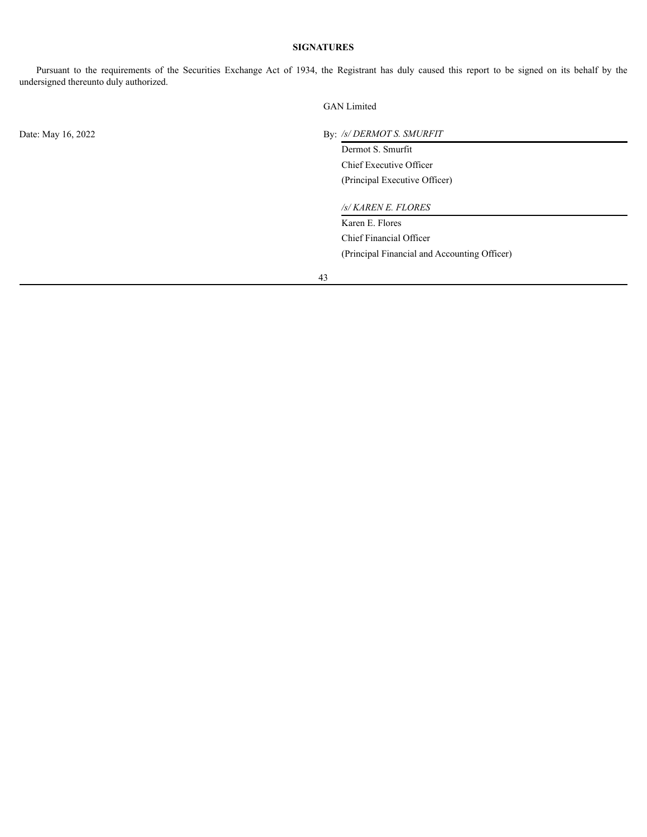# <span id="page-43-0"></span>**SIGNATURES**

Pursuant to the requirements of the Securities Exchange Act of 1934, the Registrant has duly caused this report to be signed on its behalf by the undersigned thereunto duly authorized.

# GAN Limited

Date: May 16, 2022 By: */s/ DERMOT S. SMURFIT*

Dermot S. Smurfit Chief Executive Officer (Principal Executive Officer)

# */s/ KAREN E. FLORES*

Karen E. Flores Chief Financial Officer (Principal Financial and Accounting Officer)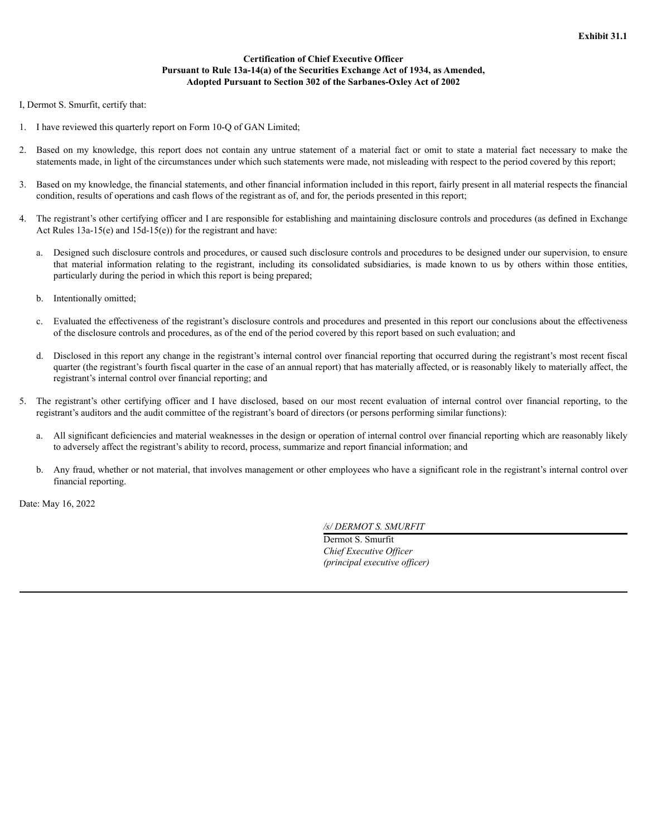# **Certification of Chief Executive Officer Pursuant to Rule 13a-14(a) of the Securities Exchange Act of 1934, as Amended, Adopted Pursuant to Section 302 of the Sarbanes-Oxley Act of 2002**

<span id="page-44-0"></span>I, Dermot S. Smurfit, certify that:

- 1. I have reviewed this quarterly report on Form 10-Q of GAN Limited;
- 2. Based on my knowledge, this report does not contain any untrue statement of a material fact or omit to state a material fact necessary to make the statements made, in light of the circumstances under which such statements were made, not misleading with respect to the period covered by this report;
- 3. Based on my knowledge, the financial statements, and other financial information included in this report, fairly present in all material respects the financial condition, results of operations and cash flows of the registrant as of, and for, the periods presented in this report;
- 4. The registrant's other certifying officer and I are responsible for establishing and maintaining disclosure controls and procedures (as defined in Exchange Act Rules 13a-15(e) and 15d-15(e)) for the registrant and have:
	- a. Designed such disclosure controls and procedures, or caused such disclosure controls and procedures to be designed under our supervision, to ensure that material information relating to the registrant, including its consolidated subsidiaries, is made known to us by others within those entities, particularly during the period in which this report is being prepared;
	- b. Intentionally omitted;
	- c. Evaluated the effectiveness of the registrant's disclosure controls and procedures and presented in this report our conclusions about the effectiveness of the disclosure controls and procedures, as of the end of the period covered by this report based on such evaluation; and
	- d. Disclosed in this report any change in the registrant's internal control over financial reporting that occurred during the registrant's most recent fiscal quarter (the registrant's fourth fiscal quarter in the case of an annual report) that has materially affected, or is reasonably likely to materially affect, the registrant's internal control over financial reporting; and
- 5. The registrant's other certifying officer and I have disclosed, based on our most recent evaluation of internal control over financial reporting, to the registrant's auditors and the audit committee of the registrant's board of directors (or persons performing similar functions):
	- a. All significant deficiencies and material weaknesses in the design or operation of internal control over financial reporting which are reasonably likely to adversely affect the registrant's ability to record, process, summarize and report financial information; and
	- b. Any fraud, whether or not material, that involves management or other employees who have a significant role in the registrant's internal control over financial reporting.

Date: May 16, 2022

*/s/ DERMOT S. SMURFIT*

Dermot S. Smurfit *Chief Executive Of icer (principal executive of icer)*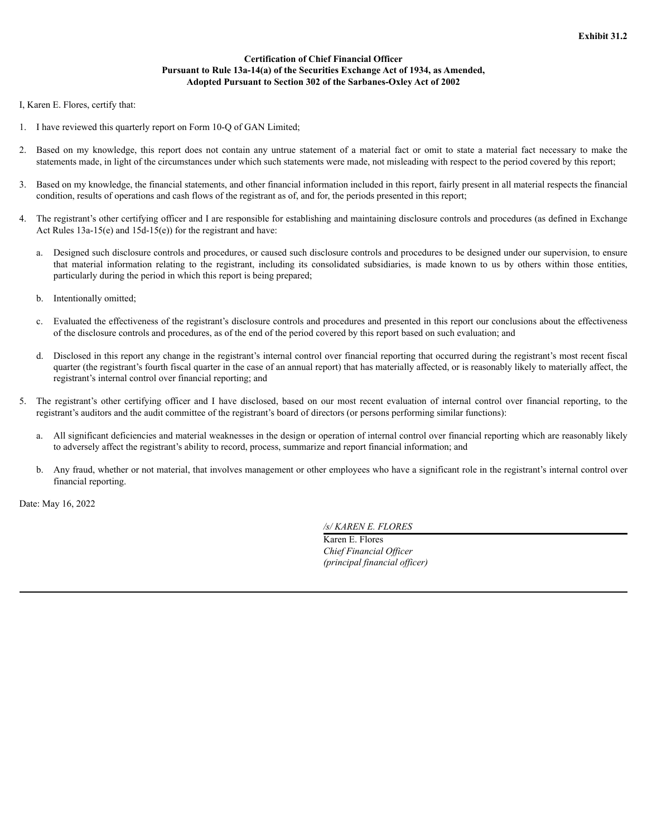# **Certification of Chief Financial Officer Pursuant to Rule 13a-14(a) of the Securities Exchange Act of 1934, as Amended, Adopted Pursuant to Section 302 of the Sarbanes-Oxley Act of 2002**

<span id="page-45-0"></span>I, Karen E. Flores, certify that:

- 1. I have reviewed this quarterly report on Form 10-Q of GAN Limited;
- 2. Based on my knowledge, this report does not contain any untrue statement of a material fact or omit to state a material fact necessary to make the statements made, in light of the circumstances under which such statements were made, not misleading with respect to the period covered by this report;
- 3. Based on my knowledge, the financial statements, and other financial information included in this report, fairly present in all material respects the financial condition, results of operations and cash flows of the registrant as of, and for, the periods presented in this report;
- 4. The registrant's other certifying officer and I are responsible for establishing and maintaining disclosure controls and procedures (as defined in Exchange Act Rules 13a-15(e) and 15d-15(e)) for the registrant and have:
	- a. Designed such disclosure controls and procedures, or caused such disclosure controls and procedures to be designed under our supervision, to ensure that material information relating to the registrant, including its consolidated subsidiaries, is made known to us by others within those entities, particularly during the period in which this report is being prepared;
	- b. Intentionally omitted;
	- c. Evaluated the effectiveness of the registrant's disclosure controls and procedures and presented in this report our conclusions about the effectiveness of the disclosure controls and procedures, as of the end of the period covered by this report based on such evaluation; and
	- d. Disclosed in this report any change in the registrant's internal control over financial reporting that occurred during the registrant's most recent fiscal quarter (the registrant's fourth fiscal quarter in the case of an annual report) that has materially affected, or is reasonably likely to materially affect, the registrant's internal control over financial reporting; and
- 5. The registrant's other certifying officer and I have disclosed, based on our most recent evaluation of internal control over financial reporting, to the registrant's auditors and the audit committee of the registrant's board of directors (or persons performing similar functions):
	- a. All significant deficiencies and material weaknesses in the design or operation of internal control over financial reporting which are reasonably likely to adversely affect the registrant's ability to record, process, summarize and report financial information; and
	- b. Any fraud, whether or not material, that involves management or other employees who have a significant role in the registrant's internal control over financial reporting.

Date: May 16, 2022

*/s/ KAREN E. FLORES*

Karen E. Flores *Chief Financial Of icer (principal financial of icer)*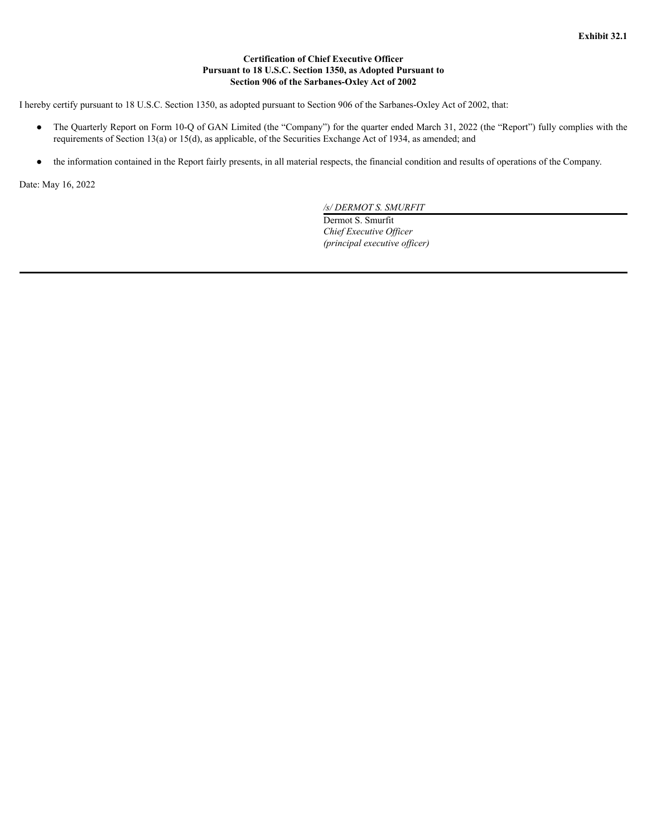# **Certification of Chief Executive Officer Pursuant to 18 U.S.C. Section 1350, as Adopted Pursuant to Section 906 of the Sarbanes-Oxley Act of 2002**

<span id="page-46-0"></span>I hereby certify pursuant to 18 U.S.C. Section 1350, as adopted pursuant to Section 906 of the Sarbanes-Oxley Act of 2002, that:

- The Quarterly Report on Form 10-Q of GAN Limited (the "Company") for the quarter ended March 31, 2022 (the "Report") fully complies with the requirements of Section 13(a) or 15(d), as applicable, of the Securities Exchange Act of 1934, as amended; and
- the information contained in the Report fairly presents, in all material respects, the financial condition and results of operations of the Company.

Date: May 16, 2022

*/s/ DERMOT S. SMURFIT*

Dermot S. Smurfit *Chief Executive Of icer (principal executive of icer)*